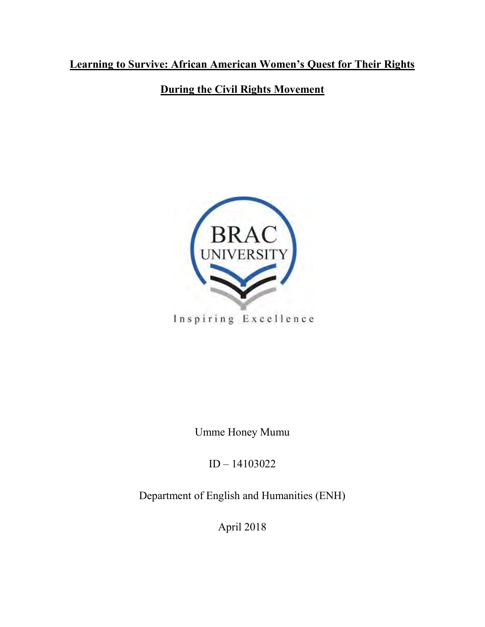## **Learning to Survive: African American Women's Quest for Their Rights**

**During the Civil Rights Movement**



Inspiring Excellence

Umme Honey Mumu

ID – 14103022

Department of English and Humanities (ENH)

April 2018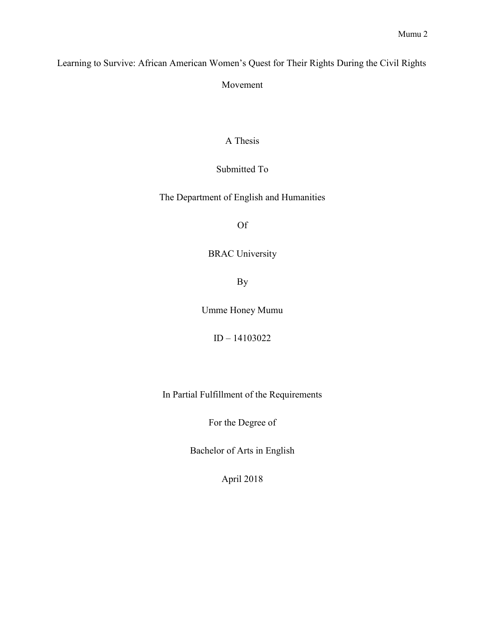Learning to Survive: African American Women's Quest for Their Rights During the Civil Rights

Movement

### A Thesis

### Submitted To

The Department of English and Humanities

Of

### BRAC University

By

Umme Honey Mumu

ID – 14103022

In Partial Fulfillment of the Requirements

For the Degree of

Bachelor of Arts in English

April 2018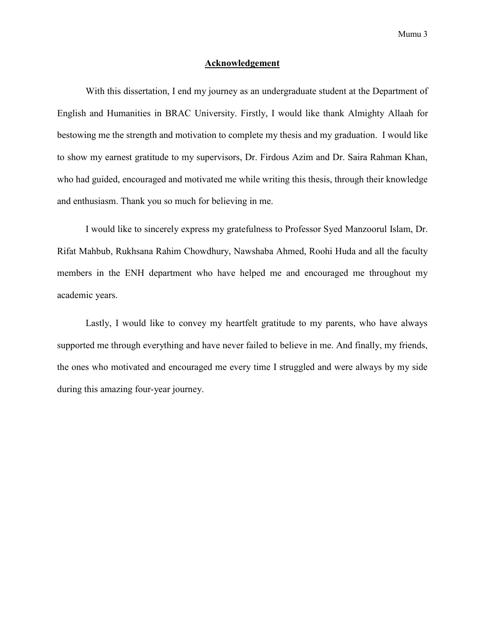#### **Acknowledgement**

With this dissertation, I end my journey as an undergraduate student at the Department of English and Humanities in BRAC University. Firstly, I would like thank Almighty Allaah for bestowing me the strength and motivation to complete my thesis and my graduation. I would like to show my earnest gratitude to my supervisors, Dr. Firdous Azim and Dr. Saira Rahman Khan, who had guided, encouraged and motivated me while writing this thesis, through their knowledge and enthusiasm. Thank you so much for believing in me.

I would like to sincerely express my gratefulness to Professor Syed Manzoorul Islam, Dr. Rifat Mahbub, Rukhsana Rahim Chowdhury, Nawshaba Ahmed, Roohi Huda and all the faculty members in the ENH department who have helped me and encouraged me throughout my academic years.

Lastly, I would like to convey my heartfelt gratitude to my parents, who have always supported me through everything and have never failed to believe in me. And finally, my friends, the ones who motivated and encouraged me every time I struggled and were always by my side during this amazing four-year journey.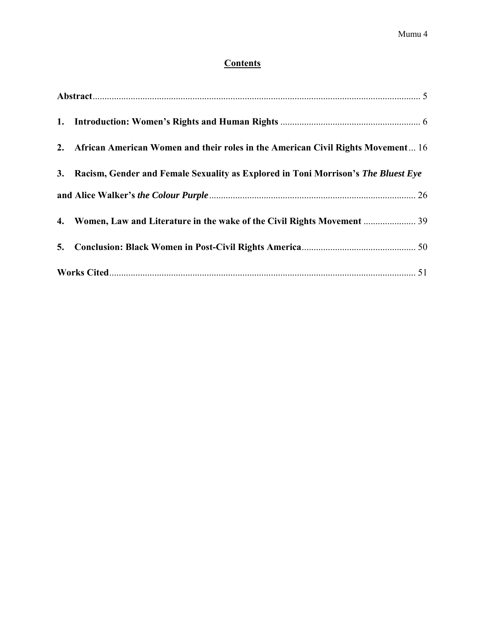### **Contents**

|  | 2. African American Women and their roles in the American Civil Rights Movement 16   |
|--|--------------------------------------------------------------------------------------|
|  | 3. Racism, Gender and Female Sexuality as Explored in Toni Morrison's The Bluest Eye |
|  |                                                                                      |
|  | 4. Women, Law and Literature in the wake of the Civil Rights Movement  39            |
|  |                                                                                      |
|  |                                                                                      |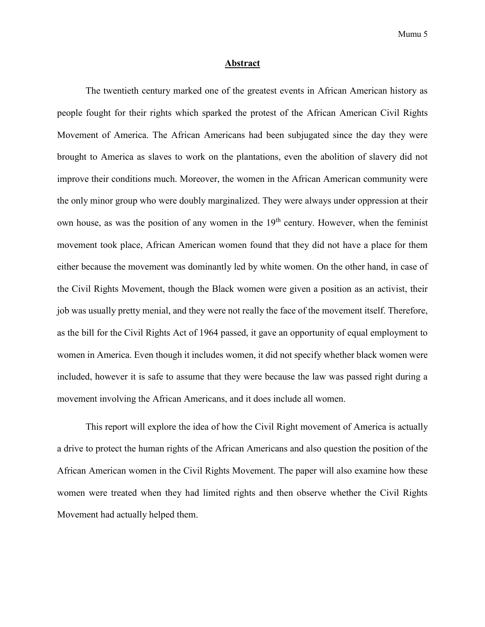#### **Abstract**

<span id="page-4-0"></span>The twentieth century marked one of the greatest events in African American history as people fought for their rights which sparked the protest of the African American Civil Rights Movement of America. The African Americans had been subjugated since the day they were brought to America as slaves to work on the plantations, even the abolition of slavery did not improve their conditions much. Moreover, the women in the African American community were the only minor group who were doubly marginalized. They were always under oppression at their own house, as was the position of any women in the  $19<sup>th</sup>$  century. However, when the feminist movement took place, African American women found that they did not have a place for them either because the movement was dominantly led by white women. On the other hand, in case of the Civil Rights Movement, though the Black women were given a position as an activist, their job was usually pretty menial, and they were not really the face of the movement itself. Therefore, as the bill for the Civil Rights Act of 1964 passed, it gave an opportunity of equal employment to women in America. Even though it includes women, it did not specify whether black women were included, however it is safe to assume that they were because the law was passed right during a movement involving the African Americans, and it does include all women.

This report will explore the idea of how the Civil Right movement of America is actually a drive to protect the human rights of the African Americans and also question the position of the African American women in the Civil Rights Movement. The paper will also examine how these women were treated when they had limited rights and then observe whether the Civil Rights Movement had actually helped them.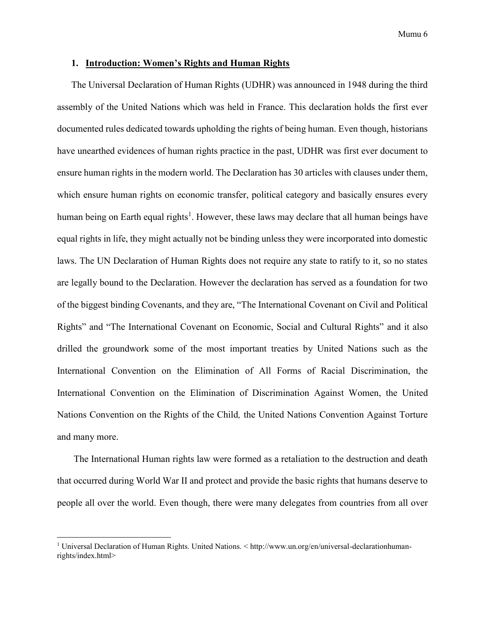#### <span id="page-5-0"></span>**1. Introduction: Women's Rights and Human Rights**

The Universal Declaration of Human Rights (UDHR) was announced in 1948 during the third assembly of the United Nations which was held in France. This declaration holds the first ever documented rules dedicated towards upholding the rights of being human. Even though, historians have unearthed evidences of human rights practice in the past, UDHR was first ever document to ensure human rights in the modern world. The Declaration has 30 articles with clauses under them, which ensure human rights on economic transfer, political category and basically ensures every human being on Earth equal rights<sup>1</sup>. However, these laws may declare that all human beings have equal rights in life, they might actually not be binding unless they were incorporated into domestic laws. The UN Declaration of Human Rights does not require any state to ratify to it, so no states are legally bound to the Declaration. However the declaration has served as a foundation for two of the biggest binding Covenants, and they are, "The International Covenant on Civil and Political Rights" and "The International Covenant on Economic, Social and Cultural Rights" and it also drilled the groundwork some of the most important treaties by United Nations such as the International Convention on the Elimination of All Forms of Racial Discrimination, the International Convention on the Elimination of Discrimination Against Women, the United Nations Convention on the Rights of the Child*,* the United Nations Convention Against Torture and many more.

The International Human rights law were formed as a retaliation to the destruction and death that occurred during World War II and protect and provide the basic rights that humans deserve to people all over the world. Even though, there were many delegates from countries from all over

l

<sup>&</sup>lt;sup>1</sup> Universal Declaration of Human Rights. United Nations.  $\lt$ http://www.un.org/en/universal-declarationhumanrights/index.html>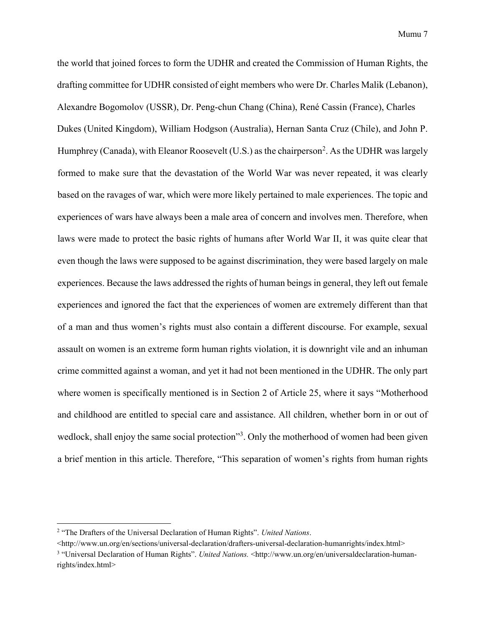the world that joined forces to form the UDHR and created the Commission of Human Rights, the drafting committee for UDHR consisted of eight members who were Dr. Charles Malik (Lebanon), Alexandre Bogomolov (USSR), Dr. Peng-chun Chang (China), René Cassin (France), Charles Dukes (United Kingdom), William Hodgson (Australia), Hernan Santa Cruz (Chile), and John P. Humphrey (Canada), with Eleanor Roosevelt (U.S.) as the chairperson<sup>2</sup>. As the UDHR was largely formed to make sure that the devastation of the World War was never repeated, it was clearly based on the ravages of war, which were more likely pertained to male experiences. The topic and experiences of wars have always been a male area of concern and involves men. Therefore, when laws were made to protect the basic rights of humans after World War II, it was quite clear that even though the laws were supposed to be against discrimination, they were based largely on male experiences. Because the laws addressed the rights of human beings in general, they left out female experiences and ignored the fact that the experiences of women are extremely different than that of a man and thus women's rights must also contain a different discourse. For example, sexual assault on women is an extreme form human rights violation, it is downright vile and an inhuman crime committed against a woman, and yet it had not been mentioned in the UDHR. The only part where women is specifically mentioned is in Section 2 of Article 25, where it says "Motherhood and childhood are entitled to special care and assistance. All children, whether born in or out of wedlock, shall enjoy the same social protection"<sup>3</sup>. Only the motherhood of women had been given a brief mention in this article. Therefore, "This separation of women's rights from human rights

<sup>2</sup> "The Drafters of the Universal Declaration of Human Rights". *United Nations*.

<sup>&</sup>lt;http://www.un.org/en/sections/universal-declaration/drafters-universal-declaration-humanrights/index.html>

<sup>3</sup> "Universal Declaration of Human Rights". *United Nations.* <http://www.un.org/en/universaldeclaration-humanrights/index.html>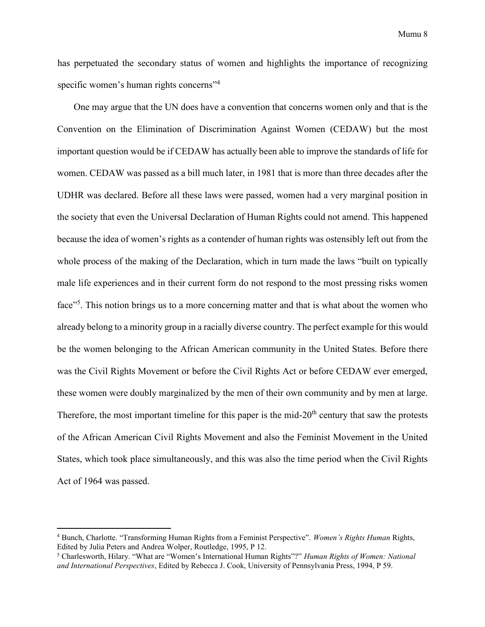has perpetuated the secondary status of women and highlights the importance of recognizing specific women's human rights concerns<sup>"4</sup>

One may argue that the UN does have a convention that concerns women only and that is the Convention on the Elimination of Discrimination Against Women (CEDAW) but the most important question would be if CEDAW has actually been able to improve the standards of life for women. CEDAW was passed as a bill much later, in 1981 that is more than three decades after the UDHR was declared. Before all these laws were passed, women had a very marginal position in the society that even the Universal Declaration of Human Rights could not amend. This happened because the idea of women's rights as a contender of human rights was ostensibly left out from the whole process of the making of the Declaration, which in turn made the laws "built on typically male life experiences and in their current form do not respond to the most pressing risks women face"<sup>5</sup>. This notion brings us to a more concerning matter and that is what about the women who already belong to a minority group in a racially diverse country. The perfect example for this would be the women belonging to the African American community in the United States. Before there was the Civil Rights Movement or before the Civil Rights Act or before CEDAW ever emerged, these women were doubly marginalized by the men of their own community and by men at large. Therefore, the most important timeline for this paper is the mid- $20<sup>th</sup>$  century that saw the protests of the African American Civil Rights Movement and also the Feminist Movement in the United States, which took place simultaneously, and this was also the time period when the Civil Rights Act of 1964 was passed.

<sup>4</sup> Bunch, Charlotte. "Transforming Human Rights from a Feminist Perspective". *Women's Rights Human* Rights, Edited by Julia Peters and Andrea Wolper, Routledge, 1995, P 12.

<sup>5</sup> Charlesworth, Hilary. "What are "Women's International Human Rights"?" *Human Rights of Women: National and International Perspectives*, Edited by Rebecca J. Cook, University of Pennsylvania Press, 1994, P 59.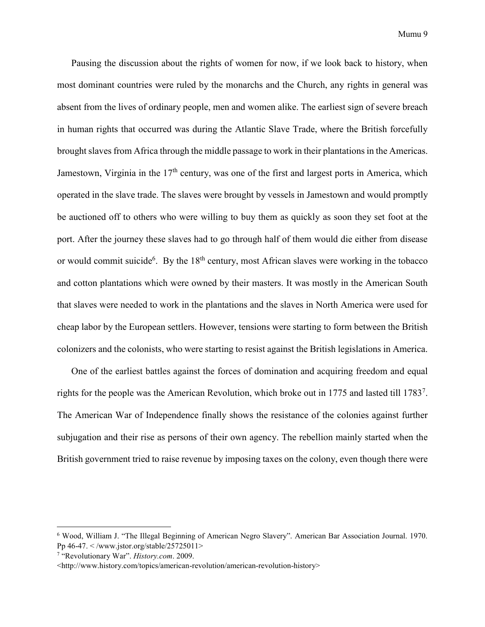Pausing the discussion about the rights of women for now, if we look back to history, when most dominant countries were ruled by the monarchs and the Church, any rights in general was absent from the lives of ordinary people, men and women alike. The earliest sign of severe breach in human rights that occurred was during the Atlantic Slave Trade, where the British forcefully brought slaves from Africa through the middle passage to work in their plantations in the Americas. Jamestown, Virginia in the  $17<sup>th</sup>$  century, was one of the first and largest ports in America, which operated in the slave trade. The slaves were brought by vessels in Jamestown and would promptly be auctioned off to others who were willing to buy them as quickly as soon they set foot at the port. After the journey these slaves had to go through half of them would die either from disease or would commit suicide<sup>6</sup>. By the 18<sup>th</sup> century, most African slaves were working in the tobacco and cotton plantations which were owned by their masters. It was mostly in the American South that slaves were needed to work in the plantations and the slaves in North America were used for cheap labor by the European settlers. However, tensions were starting to form between the British colonizers and the colonists, who were starting to resist against the British legislations in America.

One of the earliest battles against the forces of domination and acquiring freedom and equal rights for the people was the American Revolution, which broke out in 1775 and lasted till 1783<sup>7</sup>. The American War of Independence finally shows the resistance of the colonies against further subjugation and their rise as persons of their own agency. The rebellion mainly started when the British government tried to raise revenue by imposing taxes on the colony, even though there were

<sup>6</sup> Wood, William J. "The Illegal Beginning of American Negro Slavery". American Bar Association Journal. 1970. Pp 46-47. < /www.jstor.org/stable/25725011>

<sup>7</sup> "Revolutionary War". *History.com*. 2009.

<sup>&</sup>lt;http://www.history.com/topics/american-revolution/american-revolution-history>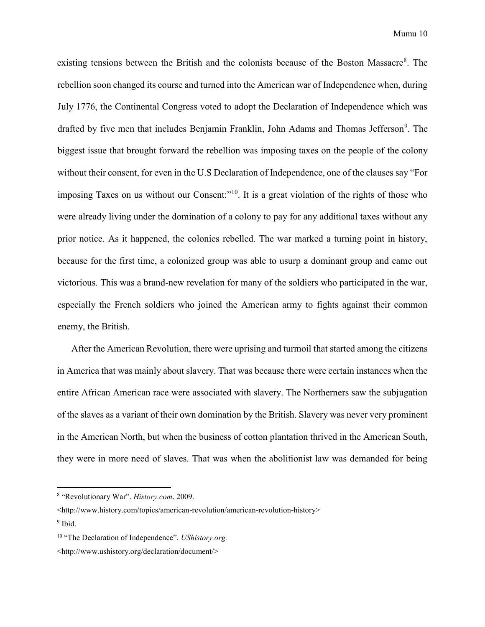existing tensions between the British and the colonists because of the Boston Massacre<sup>8</sup>. The rebellion soon changed its course and turned into the American war of Independence when, during July 1776, the Continental Congress voted to adopt the Declaration of Independence which was drafted by five men that includes Benjamin Franklin, John Adams and Thomas Jefferson<sup>9</sup>. The biggest issue that brought forward the rebellion was imposing taxes on the people of the colony without their consent, for even in the U.S Declaration of Independence, one of the clauses say "For imposing Taxes on us without our Consent:"<sup>10</sup>. It is a great violation of the rights of those who were already living under the domination of a colony to pay for any additional taxes without any prior notice. As it happened, the colonies rebelled. The war marked a turning point in history, because for the first time, a colonized group was able to usurp a dominant group and came out victorious. This was a brand-new revelation for many of the soldiers who participated in the war, especially the French soldiers who joined the American army to fights against their common enemy, the British.

After the American Revolution, there were uprising and turmoil that started among the citizens in America that was mainly about slavery. That was because there were certain instances when the entire African American race were associated with slavery. The Northerners saw the subjugation of the slaves as a variant of their own domination by the British. Slavery was never very prominent in the American North, but when the business of cotton plantation thrived in the American South, they were in more need of slaves. That was when the abolitionist law was demanded for being

<sup>8</sup> "Revolutionary War". *History.com*. 2009.

<sup>&</sup>lt;http://www.history.com/topics/american-revolution/american-revolution-history> <sup>9</sup> Ibid.

<sup>10</sup> "The Declaration of Independence". *UShistory.org.* 

<sup>&</sup>lt;http://www.ushistory.org/declaration/document/>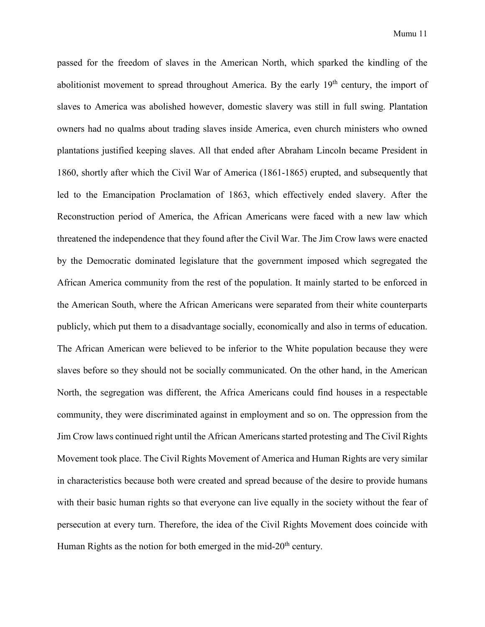passed for the freedom of slaves in the American North, which sparked the kindling of the abolitionist movement to spread throughout America. By the early  $19<sup>th</sup>$  century, the import of slaves to America was abolished however, domestic slavery was still in full swing. Plantation owners had no qualms about trading slaves inside America, even church ministers who owned plantations justified keeping slaves. All that ended after Abraham Lincoln became President in 1860, shortly after which the Civil War of America (1861-1865) erupted, and subsequently that led to the Emancipation Proclamation of 1863, which effectively ended slavery. After the Reconstruction period of America, the African Americans were faced with a new law which threatened the independence that they found after the Civil War. The Jim Crow laws were enacted by the Democratic dominated legislature that the government imposed which segregated the African America community from the rest of the population. It mainly started to be enforced in the American South, where the African Americans were separated from their white counterparts publicly, which put them to a disadvantage socially, economically and also in terms of education. The African American were believed to be inferior to the White population because they were slaves before so they should not be socially communicated. On the other hand, in the American North, the segregation was different, the Africa Americans could find houses in a respectable community, they were discriminated against in employment and so on. The oppression from the Jim Crow laws continued right until the African Americans started protesting and The Civil Rights Movement took place. The Civil Rights Movement of America and Human Rights are very similar in characteristics because both were created and spread because of the desire to provide humans with their basic human rights so that everyone can live equally in the society without the fear of persecution at every turn. Therefore, the idea of the Civil Rights Movement does coincide with Human Rights as the notion for both emerged in the mid- $20<sup>th</sup>$  century.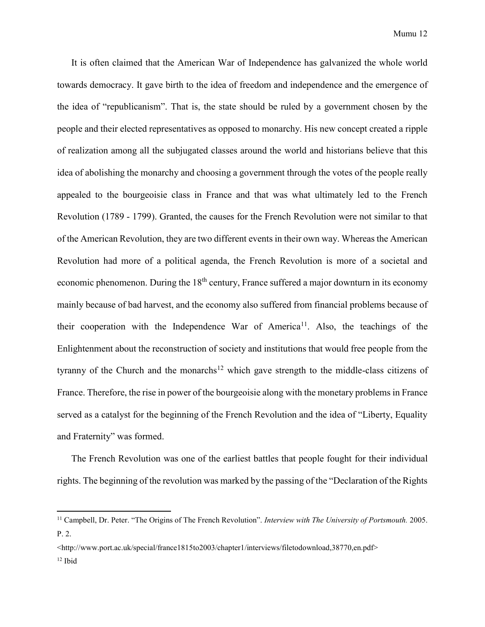It is often claimed that the American War of Independence has galvanized the whole world towards democracy. It gave birth to the idea of freedom and independence and the emergence of the idea of "republicanism". That is, the state should be ruled by a government chosen by the people and their elected representatives as opposed to monarchy. His new concept created a ripple of realization among all the subjugated classes around the world and historians believe that this idea of abolishing the monarchy and choosing a government through the votes of the people really appealed to the bourgeoisie class in France and that was what ultimately led to the French Revolution (1789 - 1799). Granted, the causes for the French Revolution were not similar to that of the American Revolution, they are two different events in their own way. Whereas the American Revolution had more of a political agenda, the French Revolution is more of a societal and economic phenomenon. During the  $18<sup>th</sup>$  century, France suffered a major downturn in its economy mainly because of bad harvest, and the economy also suffered from financial problems because of their cooperation with the Independence War of America<sup>11</sup>. Also, the teachings of the Enlightenment about the reconstruction of society and institutions that would free people from the tyranny of the Church and the monarchs<sup>12</sup> which gave strength to the middle-class citizens of France. Therefore, the rise in power of the bourgeoisie along with the monetary problems in France served as a catalyst for the beginning of the French Revolution and the idea of "Liberty, Equality and Fraternity" was formed.

The French Revolution was one of the earliest battles that people fought for their individual rights. The beginning of the revolution was marked by the passing of the "Declaration of the Rights

<http://www.port.ac.uk/special/france1815to2003/chapter1/interviews/filetodownload,38770,en.pdf> <sup>12</sup> Ibid

<sup>11</sup> Campbell, Dr. Peter. "The Origins of The French Revolution". *Interview with The University of Portsmouth.* 2005. P. 2.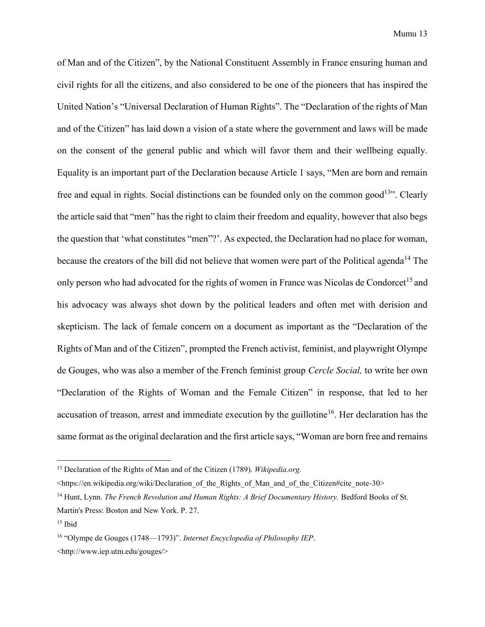of Man and of the Citizen", by the National Constituent Assembly in France ensuring human and civil rights for all the citizens, and also considered to be one of the pioneers that has inspired the United Nation's "Universal Declaration of Human Rights". The "Declaration of the rights of Man and of the Citizen" has laid down a vision of a state where the government and laws will be made on the consent of the general public and which will favor them and their wellbeing equally. Equality is an important part of the Declaration because Article 1 says, "Men are born and remain free and equal in rights. Social distinctions can be founded only on the common good<sup>13</sup>. Clearly the article said that "men" has the right to claim their freedom and equality, however that also begs the question that 'what constitutes "men"?'. As expected, the Declaration had no place for woman, because the creators of the bill did not believe that women were part of the Political agenda<sup>14</sup> The only person who had advocated for the rights of women in France was Nicolas de Condorcet<sup>15</sup> and his advocacy was always shot down by the political leaders and often met with derision and skepticism. The lack of female concern on a document as important as the "Declaration of the Rights of Man and of the Citizen", prompted the French activist, feminist, and playwright Olympe de Gouges, who was also a member of the French feminist group *Cercle Social,* to write her own "Declaration of the Rights of Woman and the Female Citizen" in response, that led to her accusation of treason, arrest and immediate execution by the guillotine<sup>16</sup>. Her declaration has the same format as the original declaration and the first article says, "Woman are born free and remains

<sup>13</sup> Declaration of the Rights of Man and of the Citizen (1789). *Wikipedia.org.* 

<sup>&</sup>lt;https://en.wikipedia.org/wiki/Declaration\_of\_the\_Rights\_of\_Man\_and\_of\_the\_Citizen#cite\_note-30>

<sup>&</sup>lt;sup>14</sup> Hunt, Lynn. *The French Revolution and Human Rights: A Brief Documentary History.* Bedford Books of St. Martin's Press: Boston and New York. P. 27.

 $15$  Ibid

<sup>16</sup> "Olympe de Gouges (1748—1793)". *Internet Encyclopedia of Philosophy IEP*. <http://www.iep.utm.edu/gouges/>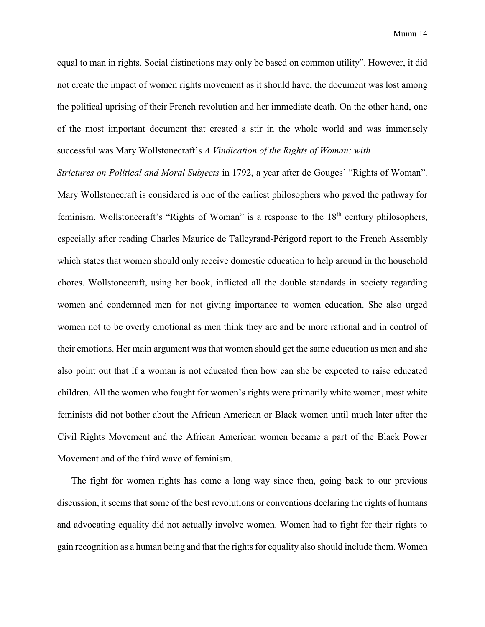Mumu 14

equal to man in rights. Social distinctions may only be based on common utility". However, it did not create the impact of women rights movement as it should have, the document was lost among the political uprising of their French revolution and her immediate death. On the other hand, one of the most important document that created a stir in the whole world and was immensely successful was Mary Wollstonecraft's *A Vindication of the Rights of Woman: with* 

*Strictures on Political and Moral Subjects* in 1792, a year after de Gouges' "Rights of Woman". Mary Wollstonecraft is considered is one of the earliest philosophers who paved the pathway for feminism. Wollstonecraft's "Rights of Woman" is a response to the 18<sup>th</sup> century philosophers. especially after reading Charles Maurice de Talleyrand-Périgord report to the French Assembly which states that women should only receive domestic education to help around in the household chores. Wollstonecraft, using her book, inflicted all the double standards in society regarding women and condemned men for not giving importance to women education. She also urged women not to be overly emotional as men think they are and be more rational and in control of their emotions. Her main argument was that women should get the same education as men and she also point out that if a woman is not educated then how can she be expected to raise educated children. All the women who fought for women's rights were primarily white women, most white feminists did not bother about the African American or Black women until much later after the Civil Rights Movement and the African American women became a part of the Black Power Movement and of the third wave of feminism.

The fight for women rights has come a long way since then, going back to our previous discussion, it seems that some of the best revolutions or conventions declaring the rights of humans and advocating equality did not actually involve women. Women had to fight for their rights to gain recognition as a human being and that the rights for equality also should include them. Women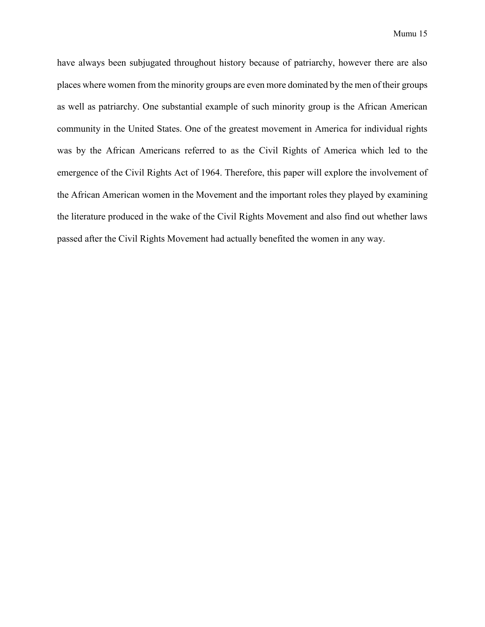have always been subjugated throughout history because of patriarchy, however there are also places where women from the minority groups are even more dominated by the men of their groups as well as patriarchy. One substantial example of such minority group is the African American community in the United States. One of the greatest movement in America for individual rights was by the African Americans referred to as the Civil Rights of America which led to the emergence of the Civil Rights Act of 1964. Therefore, this paper will explore the involvement of the African American women in the Movement and the important roles they played by examining the literature produced in the wake of the Civil Rights Movement and also find out whether laws passed after the Civil Rights Movement had actually benefited the women in any way.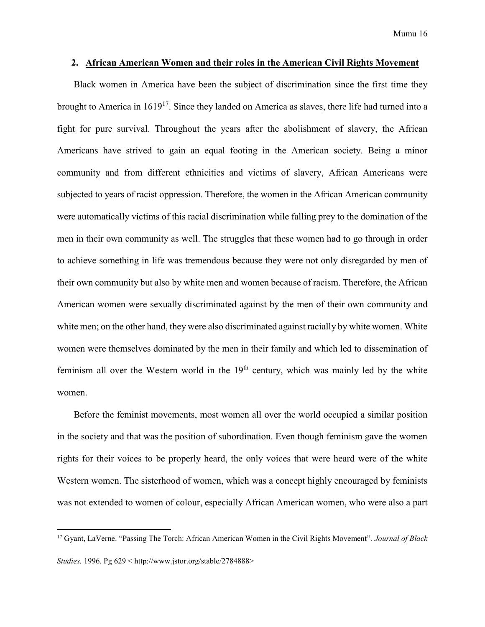#### <span id="page-15-0"></span>**2. African American Women and their roles in the American Civil Rights Movement**

Black women in America have been the subject of discrimination since the first time they brought to America in 1619<sup>17</sup>. Since they landed on America as slaves, there life had turned into a fight for pure survival. Throughout the years after the abolishment of slavery, the African Americans have strived to gain an equal footing in the American society. Being a minor community and from different ethnicities and victims of slavery, African Americans were subjected to years of racist oppression. Therefore, the women in the African American community were automatically victims of this racial discrimination while falling prey to the domination of the men in their own community as well. The struggles that these women had to go through in order to achieve something in life was tremendous because they were not only disregarded by men of their own community but also by white men and women because of racism. Therefore, the African American women were sexually discriminated against by the men of their own community and white men; on the other hand, they were also discriminated against racially by white women. White women were themselves dominated by the men in their family and which led to dissemination of feminism all over the Western world in the  $19<sup>th</sup>$  century, which was mainly led by the white women.

Before the feminist movements, most women all over the world occupied a similar position in the society and that was the position of subordination. Even though feminism gave the women rights for their voices to be properly heard, the only voices that were heard were of the white Western women. The sisterhood of women, which was a concept highly encouraged by feminists was not extended to women of colour, especially African American women, who were also a part

<sup>17</sup> Gyant, LaVerne. "Passing The Torch: African American Women in the Civil Rights Movement". *Journal of Black Studies.* 1996. Pg 629 < http://www.jstor.org/stable/2784888>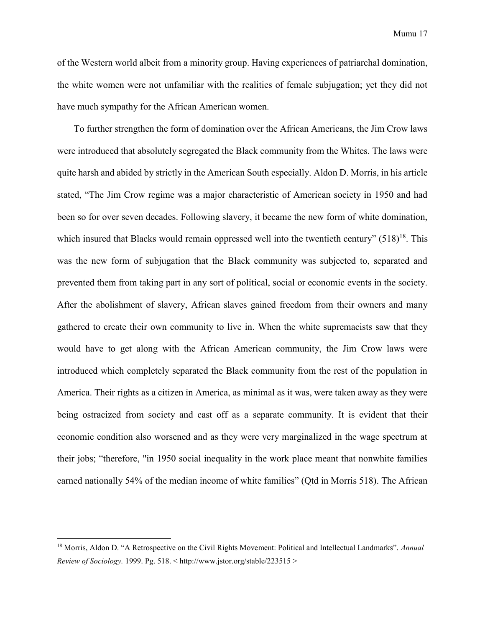Mumu 17

of the Western world albeit from a minority group. Having experiences of patriarchal domination, the white women were not unfamiliar with the realities of female subjugation; yet they did not have much sympathy for the African American women.

To further strengthen the form of domination over the African Americans, the Jim Crow laws were introduced that absolutely segregated the Black community from the Whites. The laws were quite harsh and abided by strictly in the American South especially. Aldon D. Morris, in his article stated, "The Jim Crow regime was a major characteristic of American society in 1950 and had been so for over seven decades. Following slavery, it became the new form of white domination, which insured that Blacks would remain oppressed well into the twentieth century"  $(518)^{18}$ . This was the new form of subjugation that the Black community was subjected to, separated and prevented them from taking part in any sort of political, social or economic events in the society. After the abolishment of slavery, African slaves gained freedom from their owners and many gathered to create their own community to live in. When the white supremacists saw that they would have to get along with the African American community, the Jim Crow laws were introduced which completely separated the Black community from the rest of the population in America. Their rights as a citizen in America, as minimal as it was, were taken away as they were being ostracized from society and cast off as a separate community. It is evident that their economic condition also worsened and as they were very marginalized in the wage spectrum at their jobs; "therefore, "in 1950 social inequality in the work place meant that nonwhite families earned nationally 54% of the median income of white families" (Qtd in Morris 518). The African

<sup>18</sup> Morris, Aldon D. "A Retrospective on the Civil Rights Movement: Political and Intellectual Landmarks". *Annual Review of Sociology.* 1999. Pg. 518. < http://www.jstor.org/stable/223515 >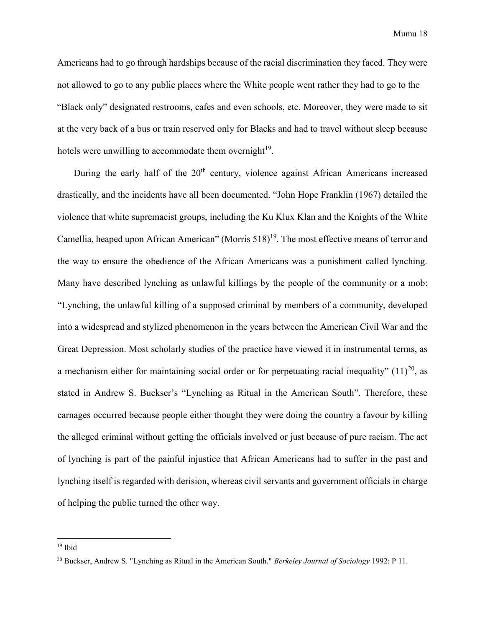Americans had to go through hardships because of the racial discrimination they faced. They were not allowed to go to any public places where the White people went rather they had to go to the "Black only" designated restrooms, cafes and even schools, etc. Moreover, they were made to sit at the very back of a bus or train reserved only for Blacks and had to travel without sleep because hotels were unwilling to accommodate them overnight<sup>19</sup>.

During the early half of the 20<sup>th</sup> century, violence against African Americans increased drastically, and the incidents have all been documented. "John Hope Franklin (1967) detailed the violence that white supremacist groups, including the Ku Klux Klan and the Knights of the White Camellia, heaped upon African American" (Morris 518)<sup>19</sup>. The most effective means of terror and the way to ensure the obedience of the African Americans was a punishment called lynching. Many have described lynching as unlawful killings by the people of the community or a mob: "Lynching, the unlawful killing of a supposed criminal by members of a community, developed into a widespread and stylized phenomenon in the years between the American Civil War and the Great Depression. Most scholarly studies of the practice have viewed it in instrumental terms, as a mechanism either for maintaining social order or for perpetuating racial inequality"  $(11)^{20}$ , as stated in Andrew S. Buckser's "Lynching as Ritual in the American South". Therefore, these carnages occurred because people either thought they were doing the country a favour by killing the alleged criminal without getting the officials involved or just because of pure racism. The act of lynching is part of the painful injustice that African Americans had to suffer in the past and lynching itself is regarded with derision, whereas civil servants and government officials in charge of helping the public turned the other way.

<sup>19</sup> Ibid

<sup>20</sup> Buckser, Andrew S. "Lynching as Ritual in the American South." *Berkeley Journal of Sociology* 1992: P 11.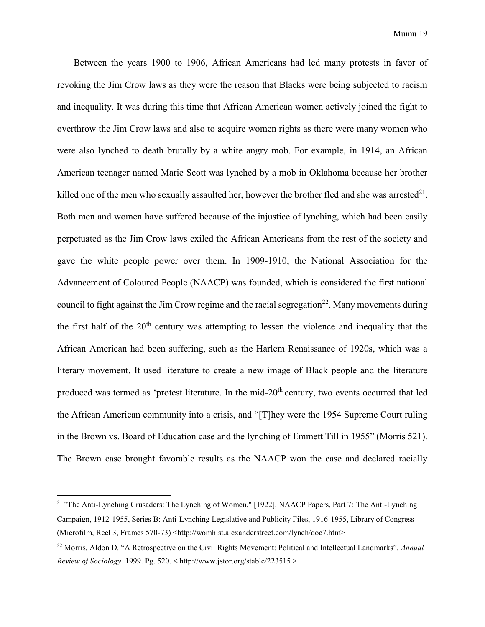Between the years 1900 to 1906, African Americans had led many protests in favor of revoking the Jim Crow laws as they were the reason that Blacks were being subjected to racism and inequality. It was during this time that African American women actively joined the fight to overthrow the Jim Crow laws and also to acquire women rights as there were many women who were also lynched to death brutally by a white angry mob. For example, in 1914, an African American teenager named Marie Scott was lynched by a mob in Oklahoma because her brother killed one of the men who sexually assaulted her, however the brother fled and she was arrested $^{21}$ . Both men and women have suffered because of the injustice of lynching, which had been easily perpetuated as the Jim Crow laws exiled the African Americans from the rest of the society and gave the white people power over them. In 1909-1910, the National Association for the Advancement of Coloured People (NAACP) was founded, which is considered the first national council to fight against the Jim Crow regime and the racial segregation<sup>22</sup>. Many movements during the first half of the  $20<sup>th</sup>$  century was attempting to lessen the violence and inequality that the African American had been suffering, such as the Harlem Renaissance of 1920s, which was a literary movement. It used literature to create a new image of Black people and the literature produced was termed as 'protest literature. In the mid-20<sup>th</sup> century, two events occurred that led the African American community into a crisis, and "[T]hey were the 1954 Supreme Court ruling in the Brown vs. Board of Education case and the lynching of Emmett Till in 1955" (Morris 521). The Brown case brought favorable results as the NAACP won the case and declared racially

<sup>&</sup>lt;sup>21</sup> "The Anti-Lynching Crusaders: The Lynching of Women," [1922], NAACP Papers, Part 7: The Anti-Lynching Campaign, 1912-1955, Series B: Anti-Lynching Legislative and Publicity Files, 1916-1955, Library of Congress (Microfilm, Reel 3, Frames 570-73) <http://womhist.alexanderstreet.com/lynch/doc7.htm>

<sup>22</sup> Morris, Aldon D. "A Retrospective on the Civil Rights Movement: Political and Intellectual Landmarks". *Annual Review of Sociology.* 1999. Pg. 520. < http://www.jstor.org/stable/223515 >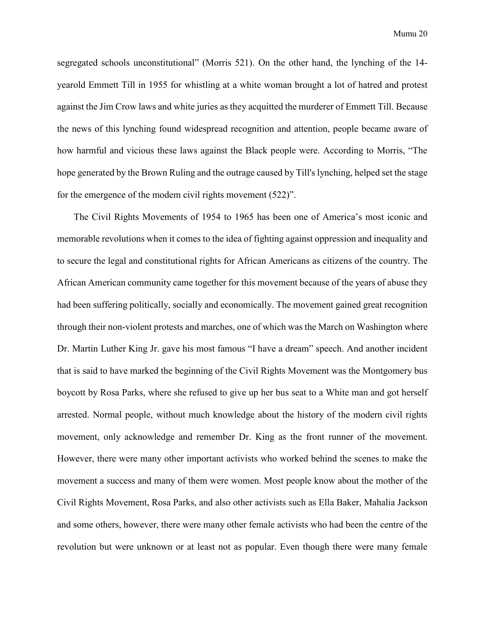segregated schools unconstitutional" (Morris 521). On the other hand, the lynching of the 14 yearold Emmett Till in 1955 for whistling at a white woman brought a lot of hatred and protest against the Jim Crow laws and white juries as they acquitted the murderer of Emmett Till. Because the news of this lynching found widespread recognition and attention, people became aware of how harmful and vicious these laws against the Black people were. According to Morris, "The hope generated by the Brown Ruling and the outrage caused by Till's lynching, helped set the stage for the emergence of the modem civil rights movement (522)".

The Civil Rights Movements of 1954 to 1965 has been one of America's most iconic and memorable revolutions when it comes to the idea of fighting against oppression and inequality and to secure the legal and constitutional rights for African Americans as citizens of the country. The African American community came together for this movement because of the years of abuse they had been suffering politically, socially and economically. The movement gained great recognition through their non-violent protests and marches, one of which was the March on Washington where Dr. Martin Luther King Jr. gave his most famous "I have a dream" speech. And another incident that is said to have marked the beginning of the Civil Rights Movement was the Montgomery bus boycott by Rosa Parks, where she refused to give up her bus seat to a White man and got herself arrested. Normal people, without much knowledge about the history of the modern civil rights movement, only acknowledge and remember Dr. King as the front runner of the movement. However, there were many other important activists who worked behind the scenes to make the movement a success and many of them were women. Most people know about the mother of the Civil Rights Movement, Rosa Parks, and also other activists such as Ella Baker, Mahalia Jackson and some others, however, there were many other female activists who had been the centre of the revolution but were unknown or at least not as popular. Even though there were many female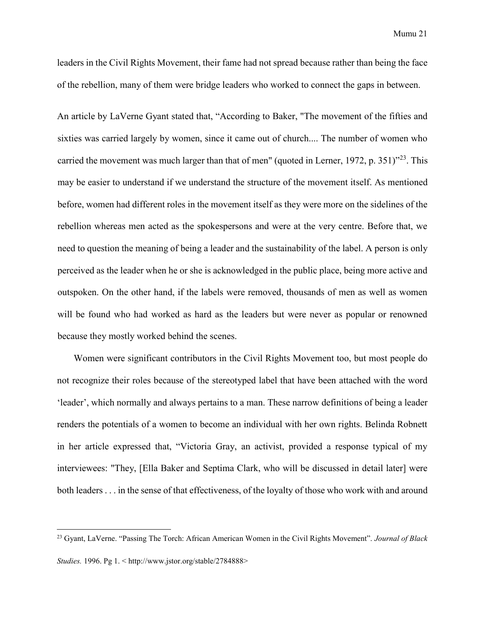leaders in the Civil Rights Movement, their fame had not spread because rather than being the face of the rebellion, many of them were bridge leaders who worked to connect the gaps in between.

An article by LaVerne Gyant stated that, "According to Baker, "The movement of the fifties and sixties was carried largely by women, since it came out of church.... The number of women who carried the movement was much larger than that of men" (quoted in Lerner, 1972, p. 351) $123$ . This may be easier to understand if we understand the structure of the movement itself. As mentioned before, women had different roles in the movement itself as they were more on the sidelines of the rebellion whereas men acted as the spokespersons and were at the very centre. Before that, we need to question the meaning of being a leader and the sustainability of the label. A person is only perceived as the leader when he or she is acknowledged in the public place, being more active and outspoken. On the other hand, if the labels were removed, thousands of men as well as women will be found who had worked as hard as the leaders but were never as popular or renowned because they mostly worked behind the scenes.

Women were significant contributors in the Civil Rights Movement too, but most people do not recognize their roles because of the stereotyped label that have been attached with the word 'leader', which normally and always pertains to a man. These narrow definitions of being a leader renders the potentials of a women to become an individual with her own rights. Belinda Robnett in her article expressed that, "Victoria Gray, an activist, provided a response typical of my interviewees: "They, [Ella Baker and Septima Clark, who will be discussed in detail later] were both leaders . . . in the sense of that effectiveness, of the loyalty of those who work with and around

l

<sup>23</sup> Gyant, LaVerne. "Passing The Torch: African American Women in the Civil Rights Movement". *Journal of Black*

*Studies.* 1996. Pg 1. < http://www.jstor.org/stable/2784888>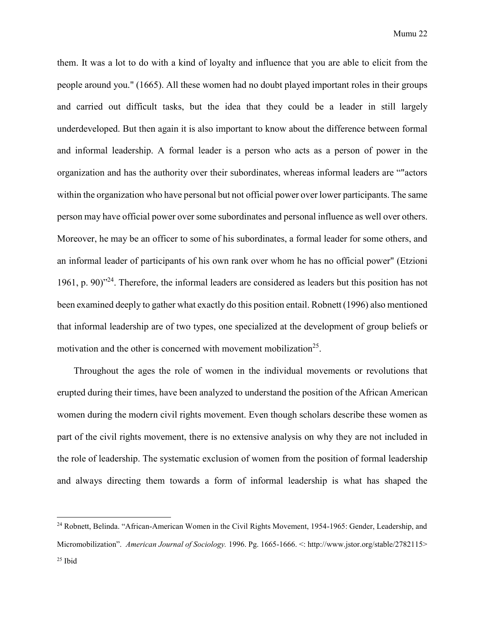them. It was a lot to do with a kind of loyalty and influence that you are able to elicit from the people around you." (1665). All these women had no doubt played important roles in their groups and carried out difficult tasks, but the idea that they could be a leader in still largely underdeveloped. But then again it is also important to know about the difference between formal and informal leadership. A formal leader is a person who acts as a person of power in the organization and has the authority over their subordinates, whereas informal leaders are ""actors within the organization who have personal but not official power over lower participants. The same person may have official power over some subordinates and personal influence as well over others. Moreover, he may be an officer to some of his subordinates, a formal leader for some others, and an informal leader of participants of his own rank over whom he has no official power" (Etzioni 1961, p. 90)"<sup>24</sup>. Therefore, the informal leaders are considered as leaders but this position has not been examined deeply to gather what exactly do this position entail. Robnett (1996) also mentioned that informal leadership are of two types, one specialized at the development of group beliefs or motivation and the other is concerned with movement mobilization<sup>25</sup>.

Throughout the ages the role of women in the individual movements or revolutions that erupted during their times, have been analyzed to understand the position of the African American women during the modern civil rights movement. Even though scholars describe these women as part of the civil rights movement, there is no extensive analysis on why they are not included in the role of leadership. The systematic exclusion of women from the position of formal leadership and always directing them towards a form of informal leadership is what has shaped the

<sup>&</sup>lt;sup>24</sup> Robnett, Belinda. "African-American Women in the Civil Rights Movement, 1954-1965: Gender, Leadership, and Micromobilization". *American Journal of Sociology.* 1996. Pg. 1665-1666. <: http://www.jstor.org/stable/2782115> <sup>25</sup> Ibid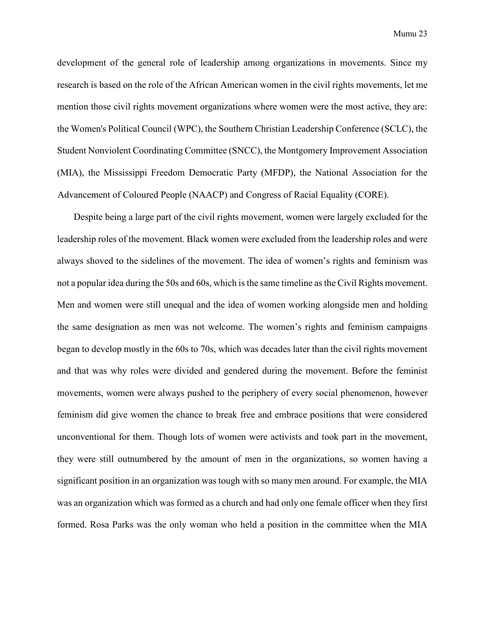development of the general role of leadership among organizations in movements. Since my research is based on the role of the African American women in the civil rights movements, let me mention those civil rights movement organizations where women were the most active, they are: the Women's Political Council (WPC), the Southern Christian Leadership Conference (SCLC), the Student Nonviolent Coordinating Committee (SNCC), the Montgomery Improvement Association (MIA), the Mississippi Freedom Democratic Party (MFDP), the National Association for the Advancement of Coloured People (NAACP) and Congress of Racial Equality (CORE).

Despite being a large part of the civil rights movement, women were largely excluded for the leadership roles of the movement. Black women were excluded from the leadership roles and were always shoved to the sidelines of the movement. The idea of women's rights and feminism was not a popular idea during the 50s and 60s, which is the same timeline as the Civil Rights movement. Men and women were still unequal and the idea of women working alongside men and holding the same designation as men was not welcome. The women's rights and feminism campaigns began to develop mostly in the 60s to 70s, which was decades later than the civil rights movement and that was why roles were divided and gendered during the movement. Before the feminist movements, women were always pushed to the periphery of every social phenomenon, however feminism did give women the chance to break free and embrace positions that were considered unconventional for them. Though lots of women were activists and took part in the movement, they were still outnumbered by the amount of men in the organizations, so women having a significant position in an organization was tough with so many men around. For example, the MIA was an organization which was formed as a church and had only one female officer when they first formed. Rosa Parks was the only woman who held a position in the committee when the MIA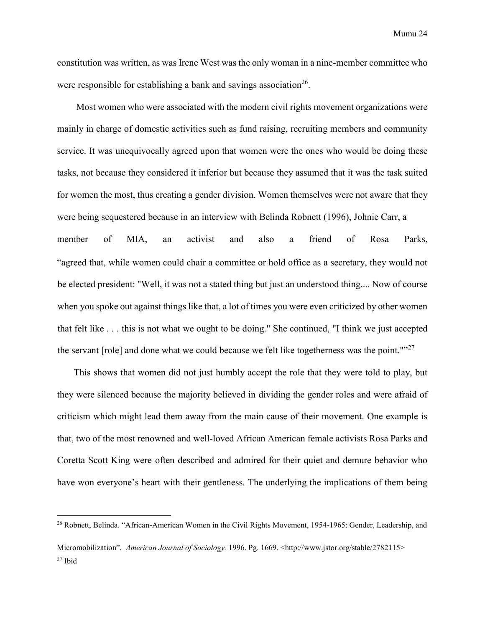constitution was written, as was Irene West was the only woman in a nine-member committee who were responsible for establishing a bank and savings association<sup>26</sup>.

Most women who were associated with the modern civil rights movement organizations were mainly in charge of domestic activities such as fund raising, recruiting members and community service. It was unequivocally agreed upon that women were the ones who would be doing these tasks, not because they considered it inferior but because they assumed that it was the task suited for women the most, thus creating a gender division. Women themselves were not aware that they were being sequestered because in an interview with Belinda Robnett (1996), Johnie Carr, a member of MIA, an activist and also a friend of Rosa Parks, "agreed that, while women could chair a committee or hold office as a secretary, they would not be elected president: "Well, it was not a stated thing but just an understood thing.... Now of course when you spoke out against things like that, a lot of times you were even criticized by other women that felt like . . . this is not what we ought to be doing." She continued, "I think we just accepted the servant [role] and done what we could because we felt like togetherness was the point." $27$ 

This shows that women did not just humbly accept the role that they were told to play, but they were silenced because the majority believed in dividing the gender roles and were afraid of criticism which might lead them away from the main cause of their movement. One example is that, two of the most renowned and well-loved African American female activists Rosa Parks and Coretta Scott King were often described and admired for their quiet and demure behavior who have won everyone's heart with their gentleness. The underlying the implications of them being

l

<sup>&</sup>lt;sup>26</sup> Robnett, Belinda. "African-American Women in the Civil Rights Movement, 1954-1965: Gender, Leadership, and

Micromobilization". *American Journal of Sociology.* 1996. Pg. 1669. <http://www.jstor.org/stable/2782115> <sup>27</sup> Ibid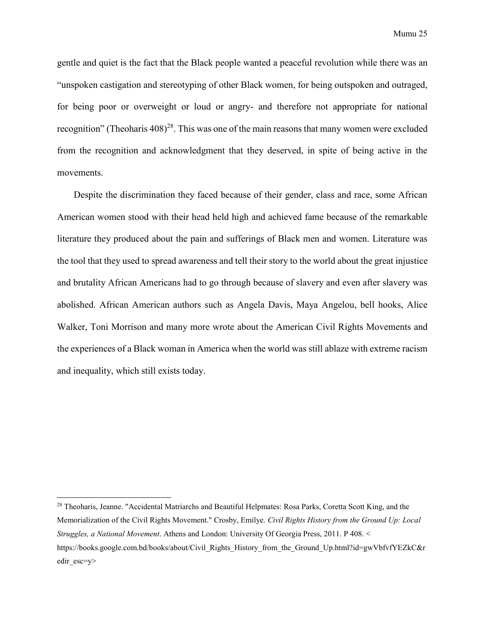gentle and quiet is the fact that the Black people wanted a peaceful revolution while there was an "unspoken castigation and stereotyping of other Black women, for being outspoken and outraged, for being poor or overweight or loud or angry- and therefore not appropriate for national recognition" (Theoharis  $408<sup>28</sup>$ . This was one of the main reasons that many women were excluded from the recognition and acknowledgment that they deserved, in spite of being active in the movements.

Despite the discrimination they faced because of their gender, class and race, some African American women stood with their head held high and achieved fame because of the remarkable literature they produced about the pain and sufferings of Black men and women. Literature was the tool that they used to spread awareness and tell their story to the world about the great injustice and brutality African Americans had to go through because of slavery and even after slavery was abolished. African American authors such as Angela Davis, Maya Angelou, bell hooks, Alice Walker, Toni Morrison and many more wrote about the American Civil Rights Movements and the experiences of a Black woman in America when the world was still ablaze with extreme racism and inequality, which still exists today.

<sup>&</sup>lt;sup>28</sup> Theoharis, Jeanne. "Accidental Matriarchs and Beautiful Helpmates: Rosa Parks, Coretta Scott King, and the Memorialization of the Civil Rights Movement." Crosby, Emilye. *Civil Rights History from the Ground Up: Local Struggles, a National Movement*. Athens and London: University Of Georgia Press, 2011. P 408. < https://books.google.com.bd/books/about/Civil\_Rights\_History\_from\_the\_Ground\_Up.html?id=gwVbfvfYEZkC&r edir\_esc=y>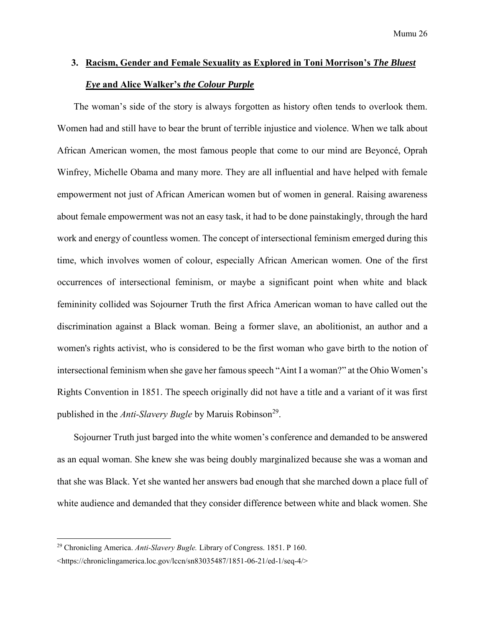# <span id="page-25-0"></span>**3. Racism, Gender and Female Sexuality as Explored in Toni Morrison's** *The Bluest Eye* **and Alice Walker's** *the Colour Purple*

The woman's side of the story is always forgotten as history often tends to overlook them. Women had and still have to bear the brunt of terrible injustice and violence. When we talk about African American women, the most famous people that come to our mind are Beyoncé, Oprah Winfrey, Michelle Obama and many more. They are all influential and have helped with female empowerment not just of African American women but of women in general. Raising awareness about female empowerment was not an easy task, it had to be done painstakingly, through the hard work and energy of countless women. The concept of intersectional feminism emerged during this time, which involves women of colour, especially African American women. One of the first occurrences of intersectional feminism, or maybe a significant point when white and black femininity collided was Sojourner Truth the first Africa American woman to have called out the discrimination against a Black woman. Being a former slave, an abolitionist, an author and a women's rights activist, who is considered to be the first woman who gave birth to the notion of intersectional feminism when she gave her famous speech "Aint I a woman?" at the Ohio Women's Rights Convention in 1851. The speech originally did not have a title and a variant of it was first published in the *Anti-Slavery Bugle* by Maruis Robinson<sup>29</sup>.

Sojourner Truth just barged into the white women's conference and demanded to be answered as an equal woman. She knew she was being doubly marginalized because she was a woman and that she was Black. Yet she wanted her answers bad enough that she marched down a place full of white audience and demanded that they consider difference between white and black women. She

<sup>29</sup> Chronicling America. *Anti-Slavery Bugle.* Library of Congress. 1851. P 160.

<sup>&</sup>lt;https://chroniclingamerica.loc.gov/lccn/sn83035487/1851-06-21/ed-1/seq-4/>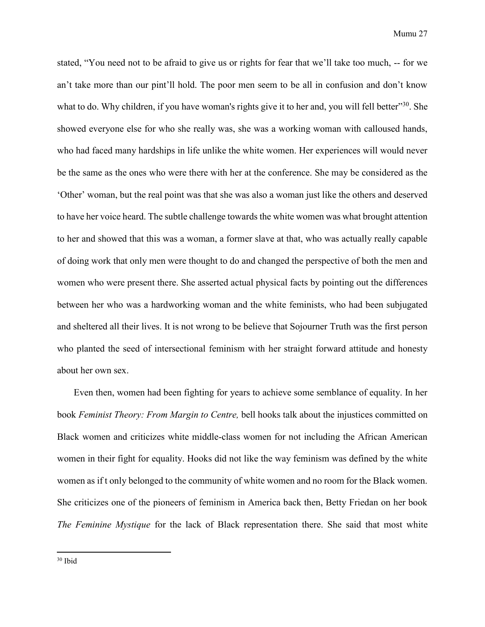stated, "You need not to be afraid to give us or rights for fear that we'll take too much, -- for we an't take more than our pint'll hold. The poor men seem to be all in confusion and don't know what to do. Why children, if you have woman's rights give it to her and, you will fell better<sup>30</sup>. She showed everyone else for who she really was, she was a working woman with calloused hands, who had faced many hardships in life unlike the white women. Her experiences will would never be the same as the ones who were there with her at the conference. She may be considered as the 'Other' woman, but the real point was that she was also a woman just like the others and deserved to have her voice heard. The subtle challenge towards the white women was what brought attention to her and showed that this was a woman, a former slave at that, who was actually really capable of doing work that only men were thought to do and changed the perspective of both the men and women who were present there. She asserted actual physical facts by pointing out the differences between her who was a hardworking woman and the white feminists, who had been subjugated and sheltered all their lives. It is not wrong to be believe that Sojourner Truth was the first person who planted the seed of intersectional feminism with her straight forward attitude and honesty about her own sex.

Even then, women had been fighting for years to achieve some semblance of equality. In her book *Feminist Theory: From Margin to Centre,* bell hooks talk about the injustices committed on Black women and criticizes white middle-class women for not including the African American women in their fight for equality. Hooks did not like the way feminism was defined by the white women as if t only belonged to the community of white women and no room for the Black women. She criticizes one of the pioneers of feminism in America back then, Betty Friedan on her book *The Feminine Mystique* for the lack of Black representation there. She said that most white

<sup>30</sup> Ibid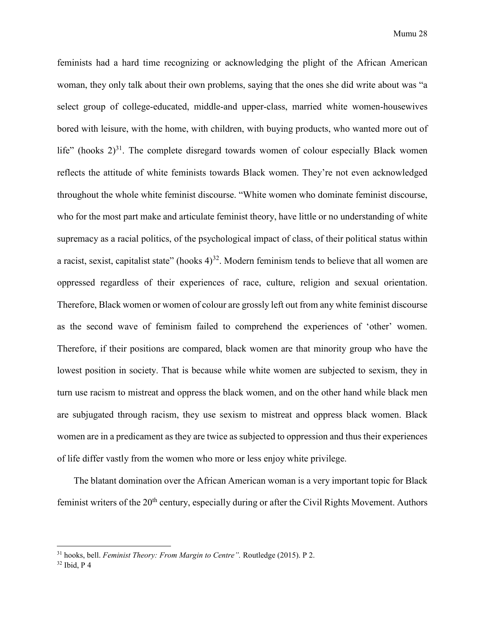feminists had a hard time recognizing or acknowledging the plight of the African American woman, they only talk about their own problems, saying that the ones she did write about was "a select group of college-educated, middle-and upper-class, married white women-housewives bored with leisure, with the home, with children, with buying products, who wanted more out of life" (hooks  $2^{31}$ . The complete disregard towards women of colour especially Black women reflects the attitude of white feminists towards Black women. They're not even acknowledged throughout the whole white feminist discourse. "White women who dominate feminist discourse, who for the most part make and articulate feminist theory, have little or no understanding of white supremacy as a racial politics, of the psychological impact of class, of their political status within a racist, sexist, capitalist state" (hooks  $4^{32}$ . Modern feminism tends to believe that all women are oppressed regardless of their experiences of race, culture, religion and sexual orientation. Therefore, Black women or women of colour are grossly left out from any white feminist discourse as the second wave of feminism failed to comprehend the experiences of 'other' women. Therefore, if their positions are compared, black women are that minority group who have the lowest position in society. That is because while white women are subjected to sexism, they in turn use racism to mistreat and oppress the black women, and on the other hand while black men are subjugated through racism, they use sexism to mistreat and oppress black women. Black women are in a predicament as they are twice as subjected to oppression and thus their experiences of life differ vastly from the women who more or less enjoy white privilege.

The blatant domination over the African American woman is a very important topic for Black feminist writers of the  $20<sup>th</sup>$  century, especially during or after the Civil Rights Movement. Authors

l

<sup>31</sup> hooks, bell. *Feminist Theory: From Margin to Centre".* Routledge (2015). P 2.

<sup>32</sup> Ibid, P 4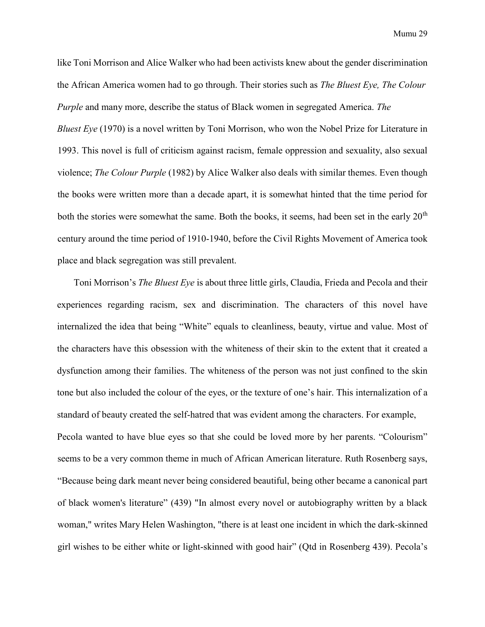like Toni Morrison and Alice Walker who had been activists knew about the gender discrimination the African America women had to go through. Their stories such as *The Bluest Eye, The Colour Purple* and many more, describe the status of Black women in segregated America. *The Bluest Eye* (1970) is a novel written by Toni Morrison, who won the Nobel Prize for Literature in 1993. This novel is full of criticism against racism, female oppression and sexuality, also sexual violence; *The Colour Purple* (1982) by Alice Walker also deals with similar themes. Even though the books were written more than a decade apart, it is somewhat hinted that the time period for both the stories were somewhat the same. Both the books, it seems, had been set in the early 20<sup>th</sup> century around the time period of 1910-1940, before the Civil Rights Movement of America took place and black segregation was still prevalent.

Toni Morrison's *The Bluest Eye* is about three little girls, Claudia, Frieda and Pecola and their experiences regarding racism, sex and discrimination. The characters of this novel have internalized the idea that being "White" equals to cleanliness, beauty, virtue and value. Most of the characters have this obsession with the whiteness of their skin to the extent that it created a dysfunction among their families. The whiteness of the person was not just confined to the skin tone but also included the colour of the eyes, or the texture of one's hair. This internalization of a standard of beauty created the self-hatred that was evident among the characters. For example, Pecola wanted to have blue eyes so that she could be loved more by her parents. "Colourism" seems to be a very common theme in much of African American literature. Ruth Rosenberg says, "Because being dark meant never being considered beautiful, being other became a canonical part of black women's literature" (439) "In almost every novel or autobiography written by a black woman," writes Mary Helen Washington, "there is at least one incident in which the dark-skinned girl wishes to be either white or light-skinned with good hair" (Qtd in Rosenberg 439). Pecola's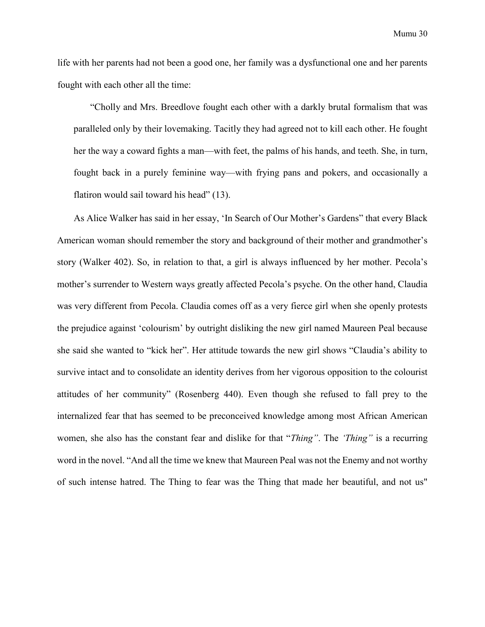life with her parents had not been a good one, her family was a dysfunctional one and her parents fought with each other all the time:

"Cholly and Mrs. Breedlove fought each other with a darkly brutal formalism that was paralleled only by their lovemaking. Tacitly they had agreed not to kill each other. He fought her the way a coward fights a man—with feet, the palms of his hands, and teeth. She, in turn, fought back in a purely feminine way—with frying pans and pokers, and occasionally a flatiron would sail toward his head" (13).

As Alice Walker has said in her essay, 'In Search of Our Mother's Gardens" that every Black American woman should remember the story and background of their mother and grandmother's story (Walker 402). So, in relation to that, a girl is always influenced by her mother. Pecola's mother's surrender to Western ways greatly affected Pecola's psyche. On the other hand, Claudia was very different from Pecola. Claudia comes off as a very fierce girl when she openly protests the prejudice against 'colourism' by outright disliking the new girl named Maureen Peal because she said she wanted to "kick her". Her attitude towards the new girl shows "Claudia's ability to survive intact and to consolidate an identity derives from her vigorous opposition to the colourist attitudes of her community" (Rosenberg 440). Even though she refused to fall prey to the internalized fear that has seemed to be preconceived knowledge among most African American women, she also has the constant fear and dislike for that "*Thing"*. The *'Thing"* is a recurring word in the novel. "And all the time we knew that Maureen Peal was not the Enemy and not worthy of such intense hatred. The Thing to fear was the Thing that made her beautiful, and not us"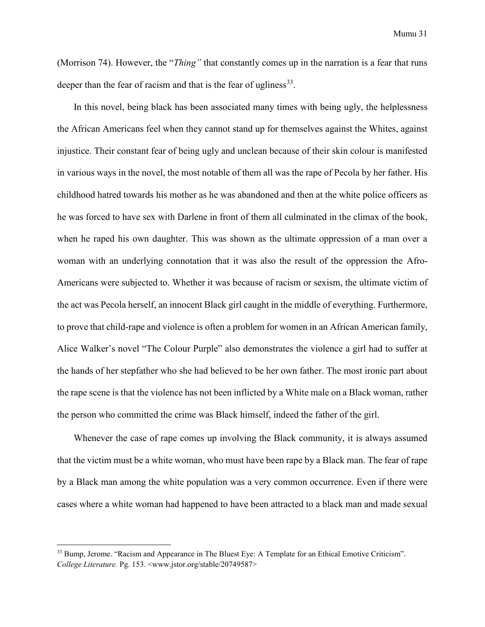(Morrison 74). However, the "*Thing"* that constantly comes up in the narration is a fear that runs deeper than the fear of racism and that is the fear of ugliness $^{33}$ .

In this novel, being black has been associated many times with being ugly, the helplessness the African Americans feel when they cannot stand up for themselves against the Whites, against injustice. Their constant fear of being ugly and unclean because of their skin colour is manifested in various ways in the novel, the most notable of them all was the rape of Pecola by her father. His childhood hatred towards his mother as he was abandoned and then at the white police officers as he was forced to have sex with Darlene in front of them all culminated in the climax of the book, when he raped his own daughter. This was shown as the ultimate oppression of a man over a woman with an underlying connotation that it was also the result of the oppression the Afro-Americans were subjected to. Whether it was because of racism or sexism, the ultimate victim of the act was Pecola herself, an innocent Black girl caught in the middle of everything. Furthermore, to prove that child-rape and violence is often a problem for women in an African American family, Alice Walker's novel "The Colour Purple" also demonstrates the violence a girl had to suffer at the hands of her stepfather who she had believed to be her own father. The most ironic part about the rape scene is that the violence has not been inflicted by a White male on a Black woman, rather the person who committed the crime was Black himself, indeed the father of the girl.

Whenever the case of rape comes up involving the Black community, it is always assumed that the victim must be a white woman, who must have been rape by a Black man. The fear of rape by a Black man among the white population was a very common occurrence. Even if there were cases where a white woman had happened to have been attracted to a black man and made sexual

 $\overline{a}$ 

<sup>&</sup>lt;sup>33</sup> Bump, Jerome. "Racism and Appearance in The Bluest Eye: A Template for an Ethical Emotive Criticism". *College Literature.* Pg. 153. <www.jstor.org/stable/20749587>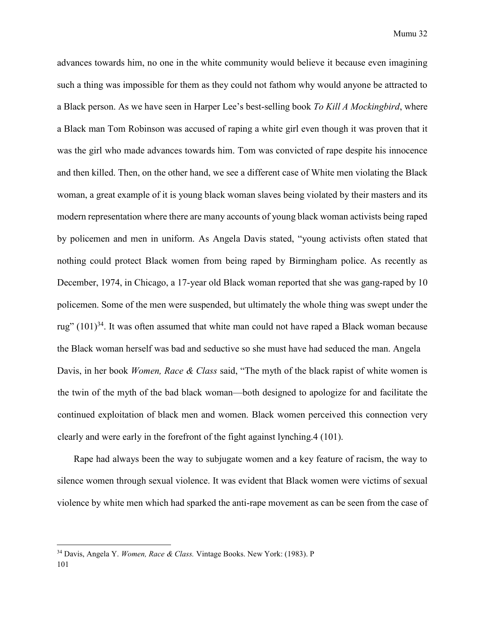advances towards him, no one in the white community would believe it because even imagining such a thing was impossible for them as they could not fathom why would anyone be attracted to a Black person. As we have seen in Harper Lee's best-selling book *To Kill A Mockingbird*, where a Black man Tom Robinson was accused of raping a white girl even though it was proven that it was the girl who made advances towards him. Tom was convicted of rape despite his innocence and then killed. Then, on the other hand, we see a different case of White men violating the Black woman, a great example of it is young black woman slaves being violated by their masters and its modern representation where there are many accounts of young black woman activists being raped by policemen and men in uniform. As Angela Davis stated, "young activists often stated that nothing could protect Black women from being raped by Birmingham police. As recently as December, 1974, in Chicago, a 17-year old Black woman reported that she was gang-raped by 10 policemen. Some of the men were suspended, but ultimately the whole thing was swept under the rug"  $(101)^{34}$ . It was often assumed that white man could not have raped a Black woman because the Black woman herself was bad and seductive so she must have had seduced the man. Angela Davis, in her book *Women, Race & Class* said, "The myth of the black rapist of white women is the twin of the myth of the bad black woman—both designed to apologize for and facilitate the continued exploitation of black men and women. Black women perceived this connection very clearly and were early in the forefront of the fight against lynching.4 (101).

Rape had always been the way to subjugate women and a key feature of racism, the way to silence women through sexual violence. It was evident that Black women were victims of sexual violence by white men which had sparked the anti-rape movement as can be seen from the case of

 $\overline{a}$ 

<sup>34</sup> Davis, Angela Y. *Women, Race & Class.* Vintage Books. New York: (1983). P 101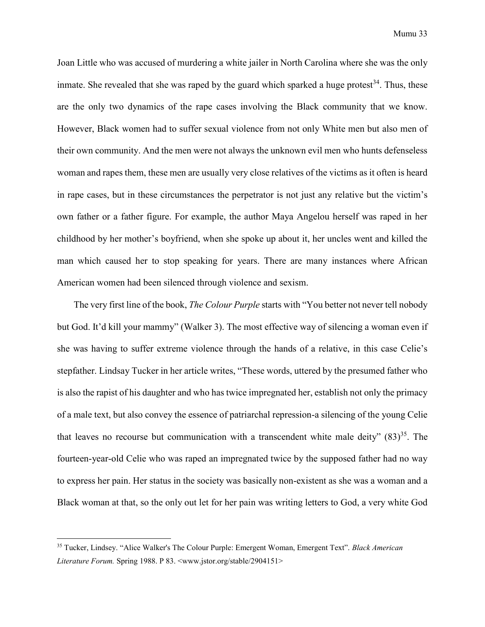Joan Little who was accused of murdering a white jailer in North Carolina where she was the only inmate. She revealed that she was raped by the guard which sparked a huge protest<sup>34</sup>. Thus, these are the only two dynamics of the rape cases involving the Black community that we know. However, Black women had to suffer sexual violence from not only White men but also men of their own community. And the men were not always the unknown evil men who hunts defenseless woman and rapes them, these men are usually very close relatives of the victims as it often is heard in rape cases, but in these circumstances the perpetrator is not just any relative but the victim's own father or a father figure. For example, the author Maya Angelou herself was raped in her childhood by her mother's boyfriend, when she spoke up about it, her uncles went and killed the man which caused her to stop speaking for years. There are many instances where African American women had been silenced through violence and sexism.

The very first line of the book, *The Colour Purple* starts with "You better not never tell nobody but God. It'd kill your mammy" (Walker 3). The most effective way of silencing a woman even if she was having to suffer extreme violence through the hands of a relative, in this case Celie's stepfather. Lindsay Tucker in her article writes, "These words, uttered by the presumed father who is also the rapist of his daughter and who has twice impregnated her, establish not only the primacy of a male text, but also convey the essence of patriarchal repression-a silencing of the young Celie that leaves no recourse but communication with a transcendent white male deity"  $(83)^{35}$ . The fourteen-year-old Celie who was raped an impregnated twice by the supposed father had no way to express her pain. Her status in the society was basically non-existent as she was a woman and a Black woman at that, so the only out let for her pain was writing letters to God, a very white God

<sup>35</sup> Tucker, Lindsey. "Alice Walker's The Colour Purple: Emergent Woman, Emergent Text". *Black American Literature Forum.* Spring 1988. P 83. <www.jstor.org/stable/2904151>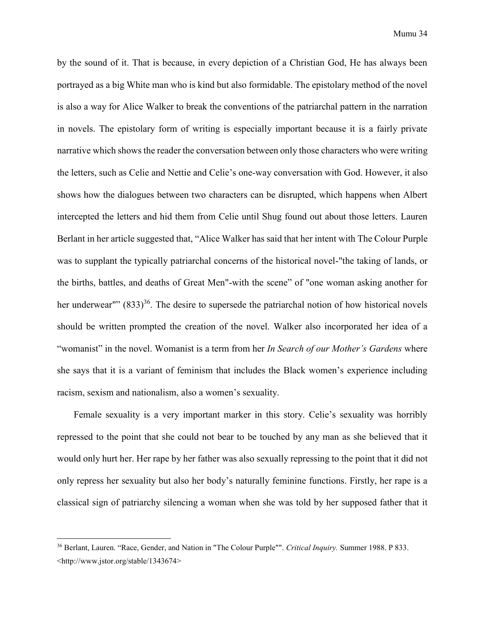by the sound of it. That is because, in every depiction of a Christian God, He has always been portrayed as a big White man who is kind but also formidable. The epistolary method of the novel is also a way for Alice Walker to break the conventions of the patriarchal pattern in the narration in novels. The epistolary form of writing is especially important because it is a fairly private narrative which shows the reader the conversation between only those characters who were writing the letters, such as Celie and Nettie and Celie's one-way conversation with God. However, it also shows how the dialogues between two characters can be disrupted, which happens when Albert intercepted the letters and hid them from Celie until Shug found out about those letters. Lauren Berlant in her article suggested that, "Alice Walker has said that her intent with The Colour Purple was to supplant the typically patriarchal concerns of the historical novel-"the taking of lands, or the births, battles, and deaths of Great Men"-with the scene" of "one woman asking another for her underwear""  $(833)^{36}$ . The desire to supersede the patriarchal notion of how historical novels should be written prompted the creation of the novel. Walker also incorporated her idea of a "womanist" in the novel. Womanist is a term from her *In Search of our Mother's Gardens* where she says that it is a variant of feminism that includes the Black women's experience including racism, sexism and nationalism, also a women's sexuality.

Female sexuality is a very important marker in this story. Celie's sexuality was horribly repressed to the point that she could not bear to be touched by any man as she believed that it would only hurt her. Her rape by her father was also sexually repressing to the point that it did not only repress her sexuality but also her body's naturally feminine functions. Firstly, her rape is a classical sign of patriarchy silencing a woman when she was told by her supposed father that it

<sup>36</sup> Berlant, Lauren. "Race, Gender, and Nation in "The Colour Purple"". *Critical Inquiry.* Summer 1988. P 833. <http://www.jstor.org/stable/1343674>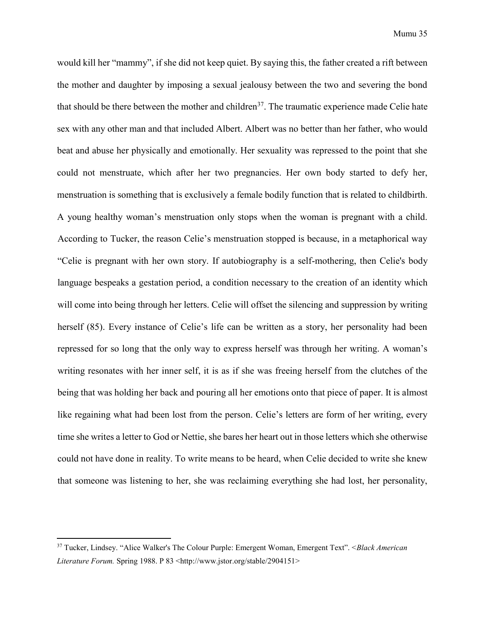would kill her "mammy", if she did not keep quiet. By saying this, the father created a rift between the mother and daughter by imposing a sexual jealousy between the two and severing the bond that should be there between the mother and children<sup>37</sup>. The traumatic experience made Celie hate sex with any other man and that included Albert. Albert was no better than her father, who would beat and abuse her physically and emotionally. Her sexuality was repressed to the point that she could not menstruate, which after her two pregnancies. Her own body started to defy her, menstruation is something that is exclusively a female bodily function that is related to childbirth. A young healthy woman's menstruation only stops when the woman is pregnant with a child. According to Tucker, the reason Celie's menstruation stopped is because, in a metaphorical way "Celie is pregnant with her own story. If autobiography is a self-mothering, then Celie's body language bespeaks a gestation period, a condition necessary to the creation of an identity which will come into being through her letters. Celie will offset the silencing and suppression by writing herself (85). Every instance of Celie's life can be written as a story, her personality had been repressed for so long that the only way to express herself was through her writing. A woman's writing resonates with her inner self, it is as if she was freeing herself from the clutches of the being that was holding her back and pouring all her emotions onto that piece of paper. It is almost like regaining what had been lost from the person. Celie's letters are form of her writing, every time she writes a letter to God or Nettie, she bares her heart out in those letters which she otherwise could not have done in reality. To write means to be heard, when Celie decided to write she knew that someone was listening to her, she was reclaiming everything she had lost, her personality,

<sup>37</sup> Tucker, Lindsey. "Alice Walker's The Colour Purple: Emergent Woman, Emergent Text". <*Black American Literature Forum.* Spring 1988. P 83 <http://www.jstor.org/stable/2904151>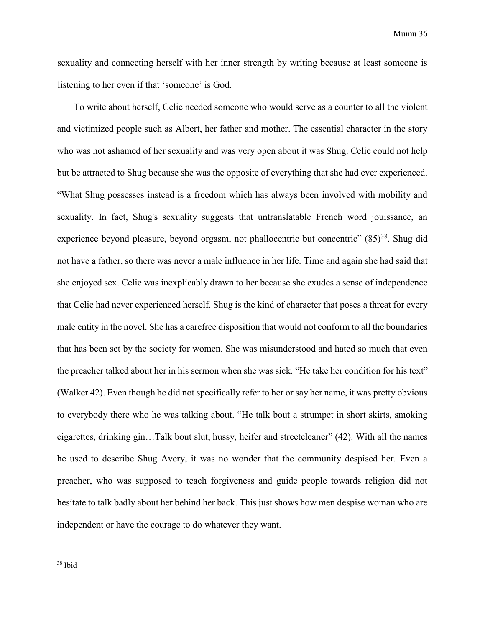sexuality and connecting herself with her inner strength by writing because at least someone is listening to her even if that 'someone' is God.

To write about herself, Celie needed someone who would serve as a counter to all the violent and victimized people such as Albert, her father and mother. The essential character in the story who was not ashamed of her sexuality and was very open about it was Shug. Celie could not help but be attracted to Shug because she was the opposite of everything that she had ever experienced. "What Shug possesses instead is a freedom which has always been involved with mobility and sexuality. In fact, Shug's sexuality suggests that untranslatable French word jouissance, an experience beyond pleasure, beyond orgasm, not phallocentric but concentric"  $(85)^{38}$ . Shug did not have a father, so there was never a male influence in her life. Time and again she had said that she enjoyed sex. Celie was inexplicably drawn to her because she exudes a sense of independence that Celie had never experienced herself. Shug is the kind of character that poses a threat for every male entity in the novel. She has a carefree disposition that would not conform to all the boundaries that has been set by the society for women. She was misunderstood and hated so much that even the preacher talked about her in his sermon when she was sick. "He take her condition for his text" (Walker 42). Even though he did not specifically refer to her or say her name, it was pretty obvious to everybody there who he was talking about. "He talk bout a strumpet in short skirts, smoking cigarettes, drinking gin…Talk bout slut, hussy, heifer and streetcleaner" (42). With all the names he used to describe Shug Avery, it was no wonder that the community despised her. Even a preacher, who was supposed to teach forgiveness and guide people towards religion did not hesitate to talk badly about her behind her back. This just shows how men despise woman who are independent or have the courage to do whatever they want.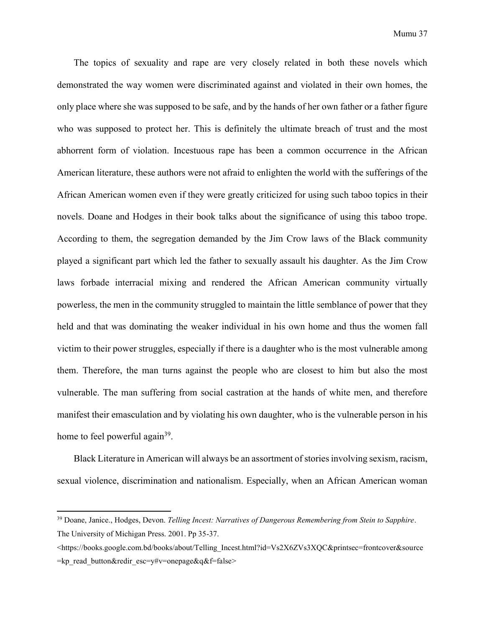The topics of sexuality and rape are very closely related in both these novels which demonstrated the way women were discriminated against and violated in their own homes, the only place where she was supposed to be safe, and by the hands of her own father or a father figure who was supposed to protect her. This is definitely the ultimate breach of trust and the most abhorrent form of violation. Incestuous rape has been a common occurrence in the African American literature, these authors were not afraid to enlighten the world with the sufferings of the African American women even if they were greatly criticized for using such taboo topics in their novels. Doane and Hodges in their book talks about the significance of using this taboo trope. According to them, the segregation demanded by the Jim Crow laws of the Black community played a significant part which led the father to sexually assault his daughter. As the Jim Crow laws forbade interracial mixing and rendered the African American community virtually powerless, the men in the community struggled to maintain the little semblance of power that they held and that was dominating the weaker individual in his own home and thus the women fall victim to their power struggles, especially if there is a daughter who is the most vulnerable among them. Therefore, the man turns against the people who are closest to him but also the most vulnerable. The man suffering from social castration at the hands of white men, and therefore manifest their emasculation and by violating his own daughter, who is the vulnerable person in his home to feel powerful again<sup>39</sup>.

Black Literature in American will always be an assortment of stories involving sexism, racism, sexual violence, discrimination and nationalism. Especially, when an African American woman

<sup>39</sup> Doane, Janice., Hodges, Devon. *Telling Incest: Narratives of Dangerous Remembering from Stein to Sapphire*. The University of Michigan Press. 2001. Pp 35-37.

<sup>&</sup>lt;https://books.google.com.bd/books/about/Telling\_Incest.html?id=Vs2X6ZVs3XQC&printsec=frontcover&source =kp\_read\_button&redir\_esc=y#v=onepage&q&f=false>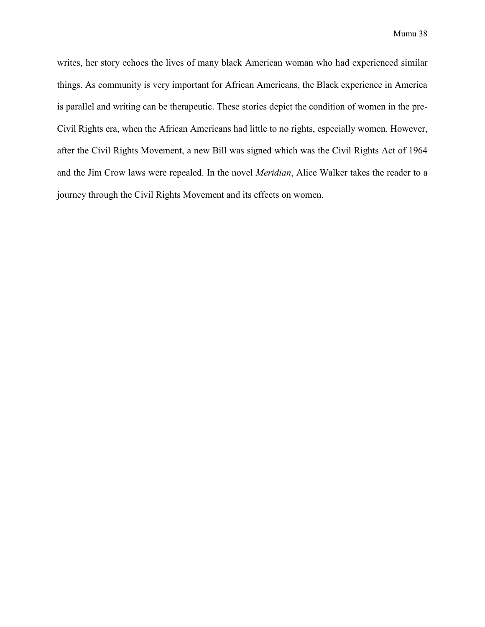writes, her story echoes the lives of many black American woman who had experienced similar things. As community is very important for African Americans, the Black experience in America is parallel and writing can be therapeutic. These stories depict the condition of women in the pre-Civil Rights era, when the African Americans had little to no rights, especially women. However, after the Civil Rights Movement, a new Bill was signed which was the Civil Rights Act of 1964 and the Jim Crow laws were repealed. In the novel *Meridian*, Alice Walker takes the reader to a journey through the Civil Rights Movement and its effects on women.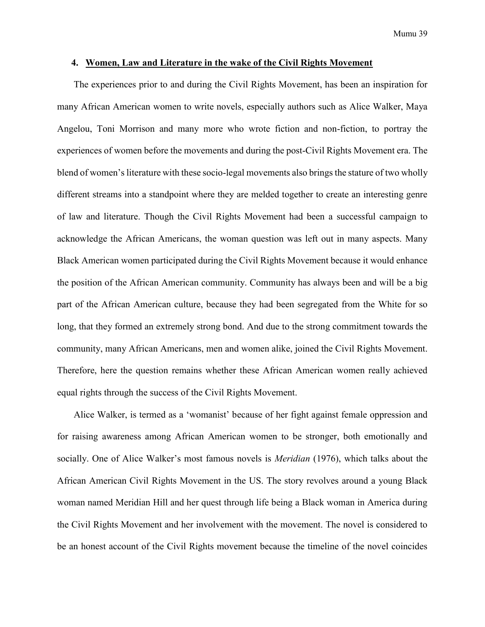#### <span id="page-38-0"></span>**4. Women, Law and Literature in the wake of the Civil Rights Movement**

The experiences prior to and during the Civil Rights Movement, has been an inspiration for many African American women to write novels, especially authors such as Alice Walker, Maya Angelou, Toni Morrison and many more who wrote fiction and non-fiction, to portray the experiences of women before the movements and during the post-Civil Rights Movement era. The blend of women's literature with these socio-legal movements also brings the stature of two wholly different streams into a standpoint where they are melded together to create an interesting genre of law and literature. Though the Civil Rights Movement had been a successful campaign to acknowledge the African Americans, the woman question was left out in many aspects. Many Black American women participated during the Civil Rights Movement because it would enhance the position of the African American community. Community has always been and will be a big part of the African American culture, because they had been segregated from the White for so long, that they formed an extremely strong bond. And due to the strong commitment towards the community, many African Americans, men and women alike, joined the Civil Rights Movement. Therefore, here the question remains whether these African American women really achieved equal rights through the success of the Civil Rights Movement.

Alice Walker, is termed as a 'womanist' because of her fight against female oppression and for raising awareness among African American women to be stronger, both emotionally and socially. One of Alice Walker's most famous novels is *Meridian* (1976), which talks about the African American Civil Rights Movement in the US. The story revolves around a young Black woman named Meridian Hill and her quest through life being a Black woman in America during the Civil Rights Movement and her involvement with the movement. The novel is considered to be an honest account of the Civil Rights movement because the timeline of the novel coincides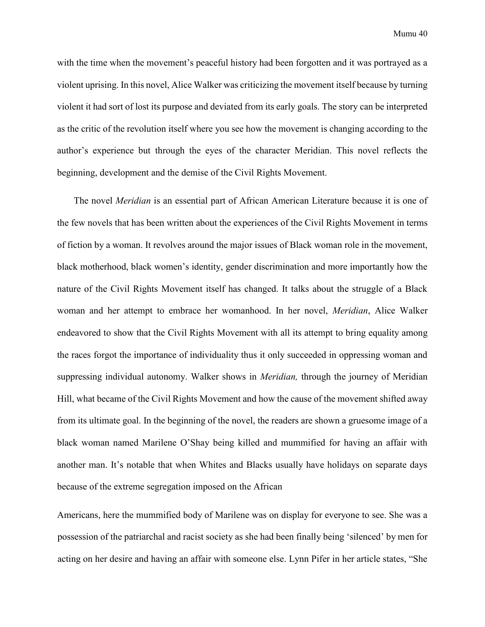with the time when the movement's peaceful history had been forgotten and it was portrayed as a violent uprising. In this novel, Alice Walker was criticizing the movement itself because by turning violent it had sort of lost its purpose and deviated from its early goals. The story can be interpreted as the critic of the revolution itself where you see how the movement is changing according to the author's experience but through the eyes of the character Meridian. This novel reflects the beginning, development and the demise of the Civil Rights Movement.

The novel *Meridian* is an essential part of African American Literature because it is one of the few novels that has been written about the experiences of the Civil Rights Movement in terms of fiction by a woman. It revolves around the major issues of Black woman role in the movement, black motherhood, black women's identity, gender discrimination and more importantly how the nature of the Civil Rights Movement itself has changed. It talks about the struggle of a Black woman and her attempt to embrace her womanhood. In her novel, *Meridian*, Alice Walker endeavored to show that the Civil Rights Movement with all its attempt to bring equality among the races forgot the importance of individuality thus it only succeeded in oppressing woman and suppressing individual autonomy. Walker shows in *Meridian,* through the journey of Meridian Hill, what became of the Civil Rights Movement and how the cause of the movement shifted away from its ultimate goal. In the beginning of the novel, the readers are shown a gruesome image of a black woman named Marilene O'Shay being killed and mummified for having an affair with another man. It's notable that when Whites and Blacks usually have holidays on separate days because of the extreme segregation imposed on the African

Americans, here the mummified body of Marilene was on display for everyone to see. She was a possession of the patriarchal and racist society as she had been finally being 'silenced' by men for acting on her desire and having an affair with someone else. Lynn Pifer in her article states, "She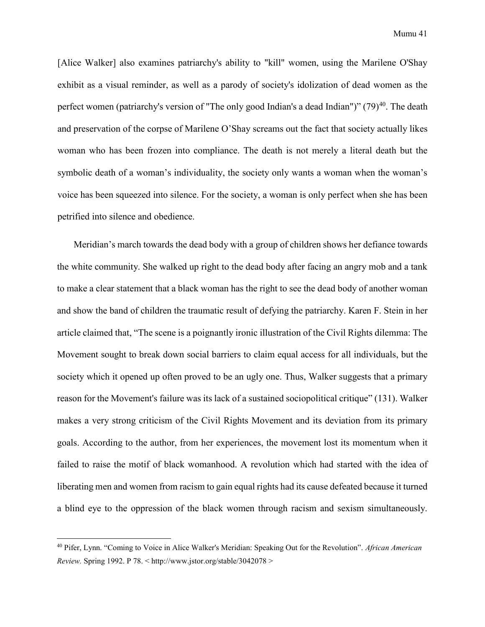[Alice Walker] also examines patriarchy's ability to "kill" women, using the Marilene O'Shay exhibit as a visual reminder, as well as a parody of society's idolization of dead women as the perfect women (patriarchy's version of "The only good Indian's a dead Indian")" (79)<sup>40</sup>. The death and preservation of the corpse of Marilene O'Shay screams out the fact that society actually likes woman who has been frozen into compliance. The death is not merely a literal death but the symbolic death of a woman's individuality, the society only wants a woman when the woman's voice has been squeezed into silence. For the society, a woman is only perfect when she has been petrified into silence and obedience.

Meridian's march towards the dead body with a group of children shows her defiance towards the white community. She walked up right to the dead body after facing an angry mob and a tank to make a clear statement that a black woman has the right to see the dead body of another woman and show the band of children the traumatic result of defying the patriarchy. Karen F. Stein in her article claimed that, "The scene is a poignantly ironic illustration of the Civil Rights dilemma: The Movement sought to break down social barriers to claim equal access for all individuals, but the society which it opened up often proved to be an ugly one. Thus, Walker suggests that a primary reason for the Movement's failure was its lack of a sustained sociopolitical critique" (131). Walker makes a very strong criticism of the Civil Rights Movement and its deviation from its primary goals. According to the author, from her experiences, the movement lost its momentum when it failed to raise the motif of black womanhood. A revolution which had started with the idea of liberating men and women from racism to gain equal rights had its cause defeated because it turned a blind eye to the oppression of the black women through racism and sexism simultaneously.

<sup>40</sup> Pifer, Lynn. "Coming to Voice in Alice Walker's Meridian: Speaking Out for the Revolution". *African American Review.* Spring 1992. P 78. < http://www.jstor.org/stable/3042078 >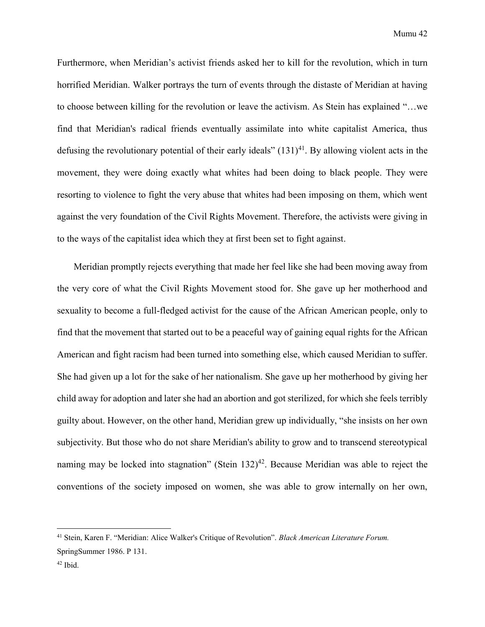Furthermore, when Meridian's activist friends asked her to kill for the revolution, which in turn horrified Meridian. Walker portrays the turn of events through the distaste of Meridian at having to choose between killing for the revolution or leave the activism. As Stein has explained "…we find that Meridian's radical friends eventually assimilate into white capitalist America, thus defusing the revolutionary potential of their early ideals"  $(131)^{41}$ . By allowing violent acts in the movement, they were doing exactly what whites had been doing to black people. They were resorting to violence to fight the very abuse that whites had been imposing on them, which went against the very foundation of the Civil Rights Movement. Therefore, the activists were giving in to the ways of the capitalist idea which they at first been set to fight against.

Meridian promptly rejects everything that made her feel like she had been moving away from the very core of what the Civil Rights Movement stood for. She gave up her motherhood and sexuality to become a full-fledged activist for the cause of the African American people, only to find that the movement that started out to be a peaceful way of gaining equal rights for the African American and fight racism had been turned into something else, which caused Meridian to suffer. She had given up a lot for the sake of her nationalism. She gave up her motherhood by giving her child away for adoption and later she had an abortion and got sterilized, for which she feels terribly guilty about. However, on the other hand, Meridian grew up individually, "she insists on her own subjectivity. But those who do not share Meridian's ability to grow and to transcend stereotypical naming may be locked into stagnation" (Stein  $132)^{42}$ . Because Meridian was able to reject the conventions of the society imposed on women, she was able to grow internally on her own,

<sup>41</sup> Stein, Karen F. "Meridian: Alice Walker's Critique of Revolution". *Black American Literature Forum.*  SpringSummer 1986. P 131.

 $42$  Ibid.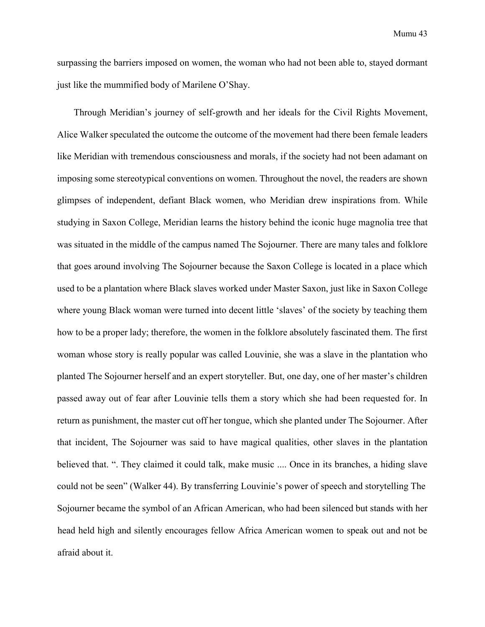surpassing the barriers imposed on women, the woman who had not been able to, stayed dormant just like the mummified body of Marilene O'Shay.

Through Meridian's journey of self-growth and her ideals for the Civil Rights Movement, Alice Walker speculated the outcome the outcome of the movement had there been female leaders like Meridian with tremendous consciousness and morals, if the society had not been adamant on imposing some stereotypical conventions on women. Throughout the novel, the readers are shown glimpses of independent, defiant Black women, who Meridian drew inspirations from. While studying in Saxon College, Meridian learns the history behind the iconic huge magnolia tree that was situated in the middle of the campus named The Sojourner. There are many tales and folklore that goes around involving The Sojourner because the Saxon College is located in a place which used to be a plantation where Black slaves worked under Master Saxon, just like in Saxon College where young Black woman were turned into decent little 'slaves' of the society by teaching them how to be a proper lady; therefore, the women in the folklore absolutely fascinated them. The first woman whose story is really popular was called Louvinie, she was a slave in the plantation who planted The Sojourner herself and an expert storyteller. But, one day, one of her master's children passed away out of fear after Louvinie tells them a story which she had been requested for. In return as punishment, the master cut off her tongue, which she planted under The Sojourner. After that incident, The Sojourner was said to have magical qualities, other slaves in the plantation believed that. ". They claimed it could talk, make music .... Once in its branches, a hiding slave could not be seen" (Walker 44). By transferring Louvinie's power of speech and storytelling The Sojourner became the symbol of an African American, who had been silenced but stands with her head held high and silently encourages fellow Africa American women to speak out and not be afraid about it.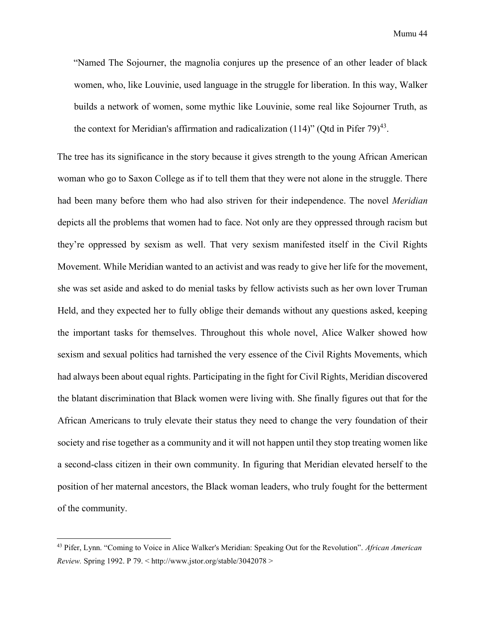Mumu 44

"Named The Sojourner, the magnolia conjures up the presence of an other leader of black women, who, like Louvinie, used language in the struggle for liberation. In this way, Walker builds a network of women, some mythic like Louvinie, some real like Sojourner Truth, as the context for Meridian's affirmation and radicalization (114)" (Qtd in Pifer 79)<sup>43</sup>.

The tree has its significance in the story because it gives strength to the young African American woman who go to Saxon College as if to tell them that they were not alone in the struggle. There had been many before them who had also striven for their independence. The novel *Meridian*  depicts all the problems that women had to face. Not only are they oppressed through racism but they're oppressed by sexism as well. That very sexism manifested itself in the Civil Rights Movement. While Meridian wanted to an activist and was ready to give her life for the movement, she was set aside and asked to do menial tasks by fellow activists such as her own lover Truman Held, and they expected her to fully oblige their demands without any questions asked, keeping the important tasks for themselves. Throughout this whole novel, Alice Walker showed how sexism and sexual politics had tarnished the very essence of the Civil Rights Movements, which had always been about equal rights. Participating in the fight for Civil Rights, Meridian discovered the blatant discrimination that Black women were living with. She finally figures out that for the African Americans to truly elevate their status they need to change the very foundation of their society and rise together as a community and it will not happen until they stop treating women like a second-class citizen in their own community. In figuring that Meridian elevated herself to the position of her maternal ancestors, the Black woman leaders, who truly fought for the betterment of the community.

<sup>43</sup> Pifer, Lynn. "Coming to Voice in Alice Walker's Meridian: Speaking Out for the Revolution". *African American Review.* Spring 1992. P 79. < http://www.jstor.org/stable/3042078 >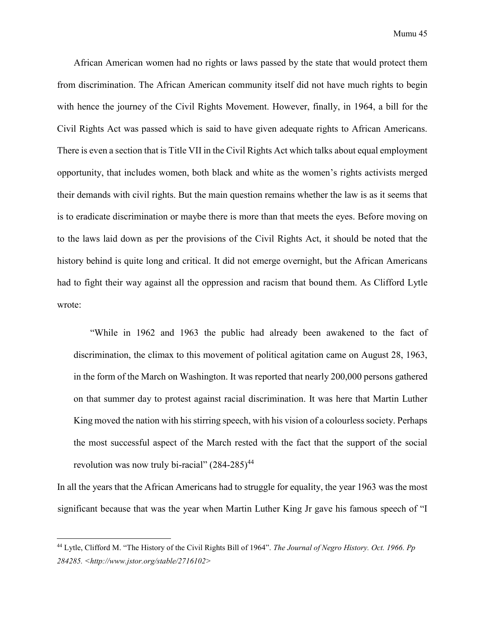African American women had no rights or laws passed by the state that would protect them from discrimination. The African American community itself did not have much rights to begin with hence the journey of the Civil Rights Movement. However, finally, in 1964, a bill for the Civil Rights Act was passed which is said to have given adequate rights to African Americans. There is even a section that is Title VII in the Civil Rights Act which talks about equal employment opportunity, that includes women, both black and white as the women's rights activists merged their demands with civil rights. But the main question remains whether the law is as it seems that is to eradicate discrimination or maybe there is more than that meets the eyes. Before moving on to the laws laid down as per the provisions of the Civil Rights Act, it should be noted that the history behind is quite long and critical. It did not emerge overnight, but the African Americans had to fight their way against all the oppression and racism that bound them. As Clifford Lytle wrote:

"While in 1962 and 1963 the public had already been awakened to the fact of discrimination, the climax to this movement of political agitation came on August 28, 1963, in the form of the March on Washington. It was reported that nearly 200,000 persons gathered on that summer day to protest against racial discrimination. It was here that Martin Luther King moved the nation with his stirring speech, with his vision of a colourless society. Perhaps the most successful aspect of the March rested with the fact that the support of the social revolution was now truly bi-racial"  $(284-285)^{44}$ 

In all the years that the African Americans had to struggle for equality, the year 1963 was the most significant because that was the year when Martin Luther King Jr gave his famous speech of "I

<sup>44</sup> Lytle, Clifford M. "The History of the Civil Rights Bill of 1964". *The Journal of Negro History. Oct. 1966. Pp 284285. <http://www.jstor.org/stable/2716102>*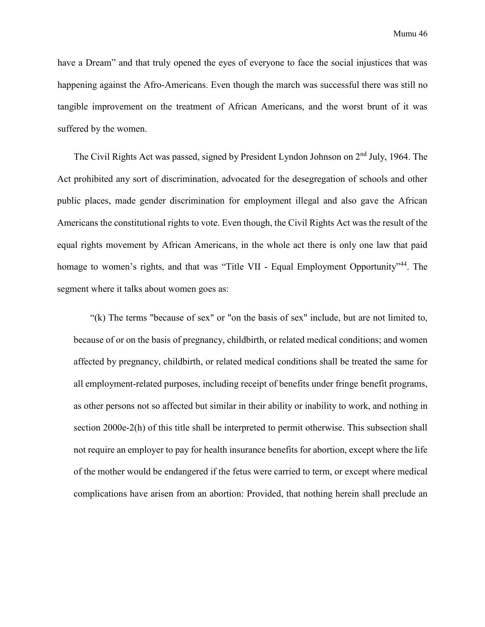have a Dream" and that truly opened the eyes of everyone to face the social injustices that was happening against the Afro-Americans. Even though the march was successful there was still no tangible improvement on the treatment of African Americans, and the worst brunt of it was suffered by the women.

The Civil Rights Act was passed, signed by President Lyndon Johnson on 2<sup>nd</sup> July, 1964. The Act prohibited any sort of discrimination, advocated for the desegregation of schools and other public places, made gender discrimination for employment illegal and also gave the African Americans the constitutional rights to vote. Even though, the Civil Rights Act was the result of the equal rights movement by African Americans, in the whole act there is only one law that paid homage to women's rights, and that was "Title VII - Equal Employment Opportunity"<sup>44</sup>. The segment where it talks about women goes as:

"(k) The terms "because of sex" or "on the basis of sex" include, but are not limited to, because of or on the basis of pregnancy, childbirth, or related medical conditions; and women affected by pregnancy, childbirth, or related medical conditions shall be treated the same for all employment-related purposes, including receipt of benefits under fringe benefit programs, as other persons not so affected but similar in their ability or inability to work, and nothing in section 2000e-2(h) of this title shall be interpreted to permit otherwise. This subsection shall not require an employer to pay for health insurance benefits for abortion, except where the life of the mother would be endangered if the fetus were carried to term, or except where medical complications have arisen from an abortion: Provided, that nothing herein shall preclude an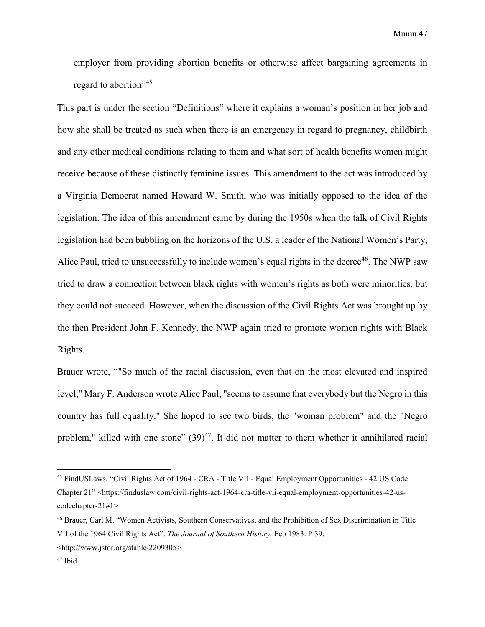employer from providing abortion benefits or otherwise affect bargaining agreements in regard to abortion"<sup>45</sup>

This part is under the section "Definitions" where it explains a woman's position in her job and how she shall be treated as such when there is an emergency in regard to pregnancy, childbirth and any other medical conditions relating to them and what sort of health benefits women might receive because of these distinctly feminine issues. This amendment to the act was introduced by a Virginia Democrat named Howard W. Smith, who was initially opposed to the idea of the legislation. The idea of this amendment came by during the 1950s when the talk of Civil Rights legislation had been bubbling on the horizons of the U.S, a leader of the National Women's Party, Alice Paul, tried to unsuccessfully to include women's equal rights in the decree<sup>46</sup>. The NWP saw tried to draw a connection between black rights with women's rights as both were minorities, but they could not succeed. However, when the discussion of the Civil Rights Act was brought up by the then President John F. Kennedy, the NWP again tried to promote women rights with Black Rights.

Brauer wrote, ""So much of the racial discussion, even that on the most elevated and inspired level," Mary F. Anderson wrote Alice Paul, "seems to assume that everybody but the Negro in this country has full equality." She hoped to see two birds, the "woman problem" and the "Negro problem," killed with one stone"  $(39)^{47}$ . It did not matter to them whether it annihilated racial

<sup>45</sup> FindUSLaws. "Civil Rights Act of 1964 - CRA - Title VII - Equal Employment Opportunities - 42 US Code Chapter 21" <https://finduslaw.com/civil-rights-act-1964-cra-title-vii-equal-employment-opportunities-42-uscodechapter-21#1>

<sup>46</sup> Brauer, Carl M. "Women Activists, Southern Conservatives, and the Prohibition of Sex Discrimination in Title VII of the 1964 Civil Rights Act". *The Journal of Southern History.* Feb 1983. P 39.

<sup>&</sup>lt;http://www.jstor.org/stable/2209305>

<sup>47</sup> Ibid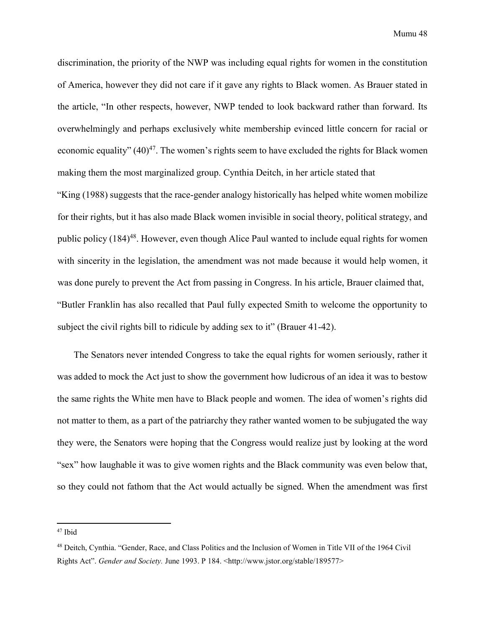discrimination, the priority of the NWP was including equal rights for women in the constitution of America, however they did not care if it gave any rights to Black women. As Brauer stated in the article, "In other respects, however, NWP tended to look backward rather than forward. Its overwhelmingly and perhaps exclusively white membership evinced little concern for racial or economic equality"  $(40)^{47}$ . The women's rights seem to have excluded the rights for Black women making them the most marginalized group. Cynthia Deitch, in her article stated that

"King (1988) suggests that the race-gender analogy historically has helped white women mobilize for their rights, but it has also made Black women invisible in social theory, political strategy, and public policy (184)<sup>48</sup>. However, even though Alice Paul wanted to include equal rights for women with sincerity in the legislation, the amendment was not made because it would help women, it was done purely to prevent the Act from passing in Congress. In his article, Brauer claimed that, "Butler Franklin has also recalled that Paul fully expected Smith to welcome the opportunity to subject the civil rights bill to ridicule by adding sex to it" (Brauer 41-42).

The Senators never intended Congress to take the equal rights for women seriously, rather it was added to mock the Act just to show the government how ludicrous of an idea it was to bestow the same rights the White men have to Black people and women. The idea of women's rights did not matter to them, as a part of the patriarchy they rather wanted women to be subjugated the way they were, the Senators were hoping that the Congress would realize just by looking at the word "sex" how laughable it was to give women rights and the Black community was even below that, so they could not fathom that the Act would actually be signed. When the amendment was first

<sup>47</sup> Ibid

<sup>48</sup> Deitch, Cynthia. "Gender, Race, and Class Politics and the Inclusion of Women in Title VII of the 1964 Civil Rights Act". *Gender and Society.* June 1993. P 184. <http://www.jstor.org/stable/189577>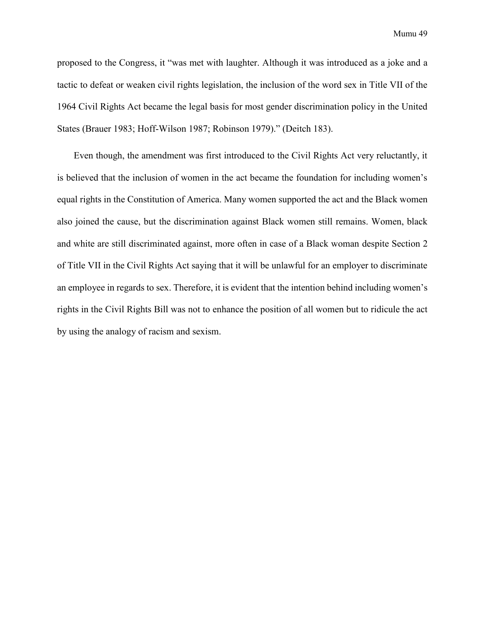Mumu 49

proposed to the Congress, it "was met with laughter. Although it was introduced as a joke and a tactic to defeat or weaken civil rights legislation, the inclusion of the word sex in Title VII of the 1964 Civil Rights Act became the legal basis for most gender discrimination policy in the United States (Brauer 1983; Hoff-Wilson 1987; Robinson 1979)." (Deitch 183).

Even though, the amendment was first introduced to the Civil Rights Act very reluctantly, it is believed that the inclusion of women in the act became the foundation for including women's equal rights in the Constitution of America. Many women supported the act and the Black women also joined the cause, but the discrimination against Black women still remains. Women, black and white are still discriminated against, more often in case of a Black woman despite Section 2 of Title VII in the Civil Rights Act saying that it will be unlawful for an employer to discriminate an employee in regards to sex. Therefore, it is evident that the intention behind including women's rights in the Civil Rights Bill was not to enhance the position of all women but to ridicule the act by using the analogy of racism and sexism.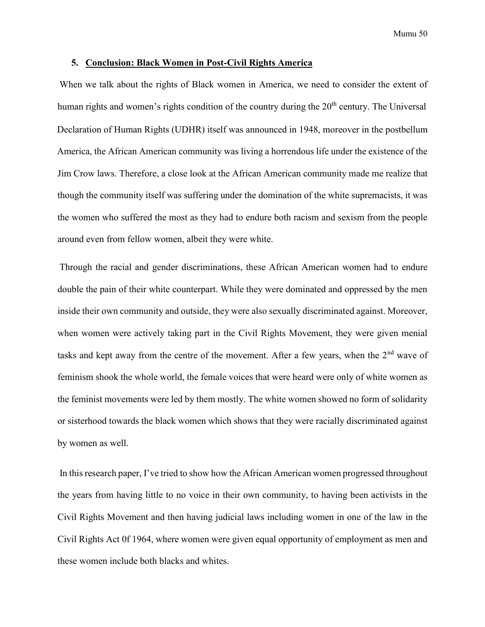#### <span id="page-49-0"></span>**5. Conclusion: Black Women in Post-Civil Rights America**

When we talk about the rights of Black women in America, we need to consider the extent of human rights and women's rights condition of the country during the  $20<sup>th</sup>$  century. The Universal Declaration of Human Rights (UDHR) itself was announced in 1948, moreover in the postbellum America, the African American community was living a horrendous life under the existence of the Jim Crow laws. Therefore, a close look at the African American community made me realize that though the community itself was suffering under the domination of the white supremacists, it was the women who suffered the most as they had to endure both racism and sexism from the people around even from fellow women, albeit they were white.

Through the racial and gender discriminations, these African American women had to endure double the pain of their white counterpart. While they were dominated and oppressed by the men inside their own community and outside, they were also sexually discriminated against. Moreover, when women were actively taking part in the Civil Rights Movement, they were given menial tasks and kept away from the centre of the movement. After a few years, when the  $2<sup>nd</sup>$  wave of feminism shook the whole world, the female voices that were heard were only of white women as the feminist movements were led by them mostly. The white women showed no form of solidarity or sisterhood towards the black women which shows that they were racially discriminated against by women as well.

In this research paper, I've tried to show how the African American women progressed throughout the years from having little to no voice in their own community, to having been activists in the Civil Rights Movement and then having judicial laws including women in one of the law in the Civil Rights Act 0f 1964, where women were given equal opportunity of employment as men and these women include both blacks and whites.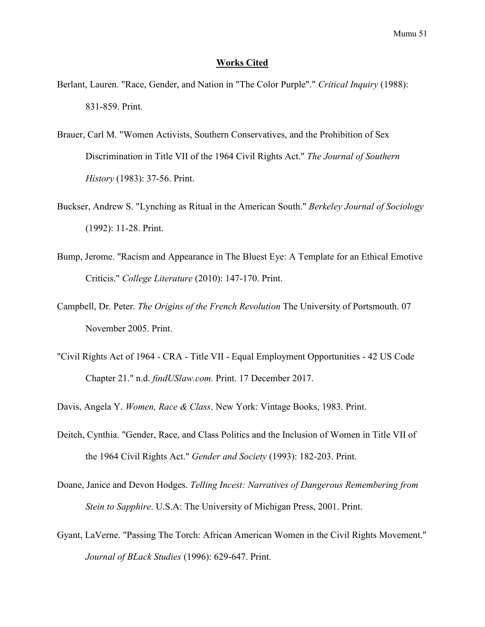#### <span id="page-50-0"></span>**Works Cited**

- Berlant, Lauren. "Race, Gender, and Nation in "The Color Purple"." *Critical Inquiry* (1988): 831-859. Print.
- Brauer, Carl M. "Women Activists, Southern Conservatives, and the Prohibition of Sex Discrimination in Title VII of the 1964 Civil Rights Act." *The Journal of Southern History* (1983): 37-56. Print.
- Buckser, Andrew S. "Lynching as Ritual in the American South." *Berkeley Journal of Sociology* (1992): 11-28. Print.
- Bump, Jerome. "Racism and Appearance in The Bluest Eye: A Template for an Ethical Emotive Criticis." *College Literature* (2010): 147-170. Print.
- Campbell, Dr. Peter. *The Origins of the French Revolution* The University of Portsmouth. 07 November 2005. Print.
- "Civil Rights Act of 1964 CRA Title VII Equal Employment Opportunities 42 US Code Chapter 21." n.d. *findUSlaw.com.* Print. 17 December 2017.
- Davis, Angela Y. *Women, Race & Class*. New York: Vintage Books, 1983. Print.
- Deitch, Cynthia. "Gender, Race, and Class Politics and the Inclusion of Women in Title VII of the 1964 Civil Rights Act." *Gender and Society* (1993): 182-203. Print.
- Doane, Janice and Devon Hodges. *Telling Incest: Narratives of Dangerous Remembering from Stein to Sapphire*. U.S.A: The University of Michigan Press, 2001. Print.
- Gyant, LaVerne. "Passing The Torch: African American Women in the Civil Rights Movement." *Journal of BLack Studies* (1996): 629-647. Print.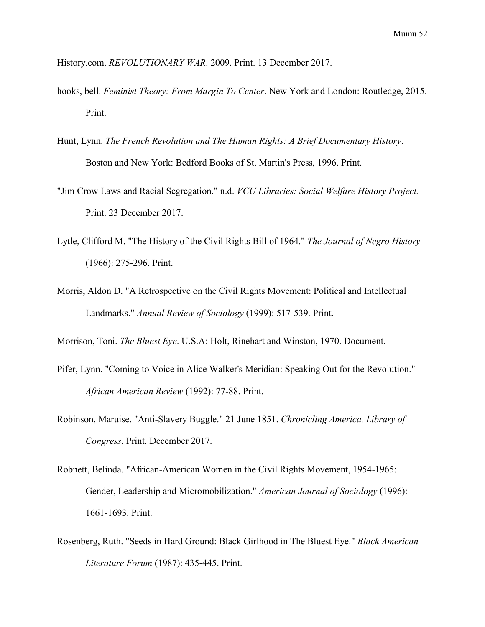History.com. *REVOLUTIONARY WAR*. 2009. Print. 13 December 2017.

- hooks, bell. *Feminist Theory: From Margin To Center*. New York and London: Routledge, 2015. Print.
- Hunt, Lynn. *The French Revolution and The Human Rights: A Brief Documentary History*. Boston and New York: Bedford Books of St. Martin's Press, 1996. Print.
- "Jim Crow Laws and Racial Segregation." n.d. *VCU Libraries: Social Welfare History Project.* Print. 23 December 2017.
- Lytle, Clifford M. "The History of the Civil Rights Bill of 1964." *The Journal of Negro History* (1966): 275-296. Print.
- Morris, Aldon D. "A Retrospective on the Civil Rights Movement: Political and Intellectual Landmarks." *Annual Review of Sociology* (1999): 517-539. Print.

Morrison, Toni. *The Bluest Eye*. U.S.A: Holt, Rinehart and Winston, 1970. Document.

- Pifer, Lynn. "Coming to Voice in Alice Walker's Meridian: Speaking Out for the Revolution." *African American Review* (1992): 77-88. Print.
- Robinson, Maruise. "Anti-Slavery Buggle." 21 June 1851. *Chronicling America, Library of Congress.* Print. December 2017.
- Robnett, Belinda. "African-American Women in the Civil Rights Movement, 1954-1965: Gender, Leadership and Micromobilization." *American Journal of Sociology* (1996): 1661-1693. Print.
- Rosenberg, Ruth. "Seeds in Hard Ground: Black Girlhood in The Bluest Eye." *Black American Literature Forum* (1987): 435-445. Print.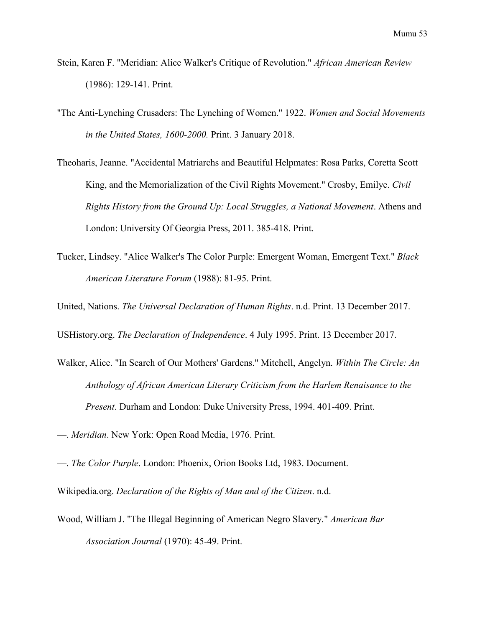- Stein, Karen F. "Meridian: Alice Walker's Critique of Revolution." *African American Review* (1986): 129-141. Print.
- "The Anti-Lynching Crusaders: The Lynching of Women." 1922. *Women and Social Movements in the United States, 1600-2000.* Print. 3 January 2018.
- Theoharis, Jeanne. "Accidental Matriarchs and Beautiful Helpmates: Rosa Parks, Coretta Scott King, and the Memorialization of the Civil Rights Movement." Crosby, Emilye. *Civil Rights History from the Ground Up: Local Struggles, a National Movement*. Athens and London: University Of Georgia Press, 2011. 385-418. Print.
- Tucker, Lindsey. "Alice Walker's The Color Purple: Emergent Woman, Emergent Text." *Black American Literature Forum* (1988): 81-95. Print.
- United, Nations. *The Universal Declaration of Human Rights*. n.d. Print. 13 December 2017.
- USHistory.org. *The Declaration of Independence*. 4 July 1995. Print. 13 December 2017.
- Walker, Alice. "In Search of Our Mothers' Gardens." Mitchell, Angelyn. *Within The Circle: An Anthology of African American Literary Criticism from the Harlem Renaisance to the Present*. Durham and London: Duke University Press, 1994. 401-409. Print.
- —. *Meridian*. New York: Open Road Media, 1976. Print.
- —. *The Color Purple*. London: Phoenix, Orion Books Ltd, 1983. Document.

Wikipedia.org. *Declaration of the Rights of Man and of the Citizen*. n.d.

Wood, William J. "The Illegal Beginning of American Negro Slavery." *American Bar Association Journal* (1970): 45-49. Print.